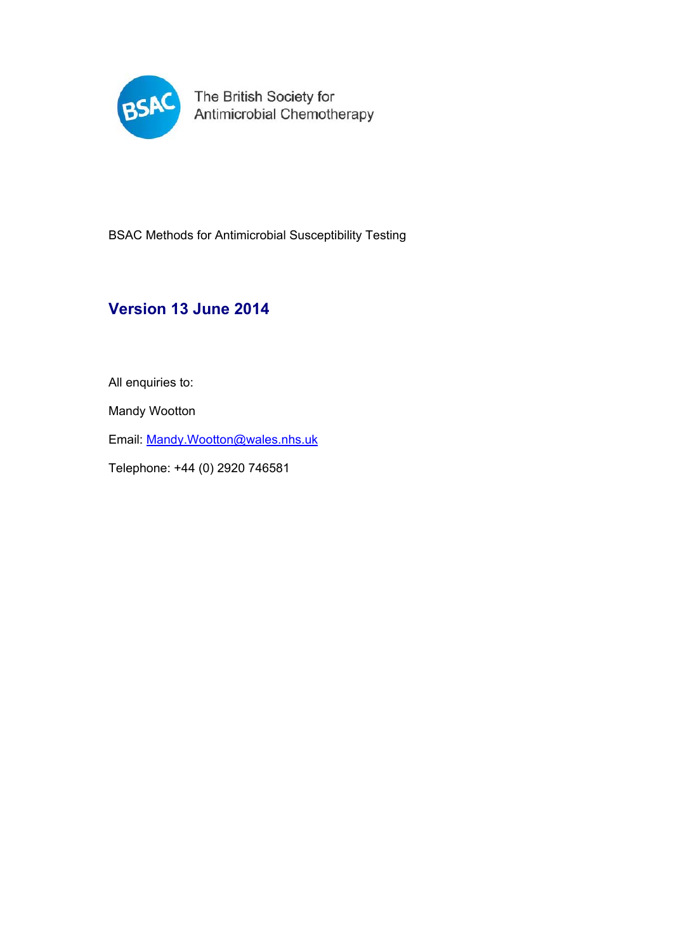

BSAC Methods for Antimicrobial Susceptibility Testing

# **Version 13 June 2014**

All enquiries to:

Mandy Wootton

Email: Mandy.Wootton@wales.nhs.uk

Telephone: +44 (0) 2920 746581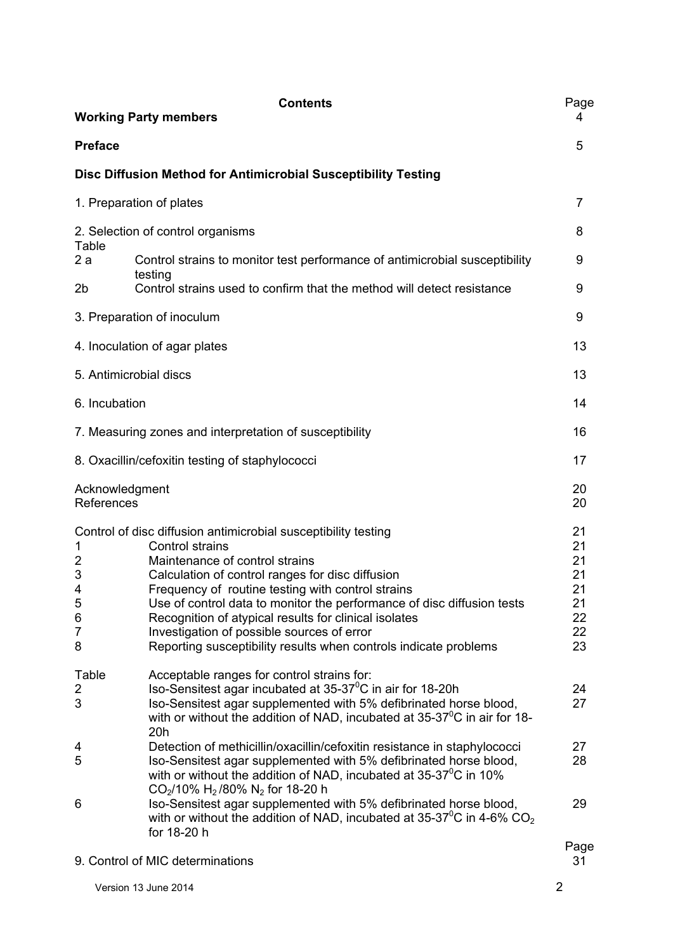|                                                                | <b>Contents</b><br><b>Working Party members</b>                                                                                                                                                                                                                                                                                                                                                                                                                                   | Page<br>4                                          |
|----------------------------------------------------------------|-----------------------------------------------------------------------------------------------------------------------------------------------------------------------------------------------------------------------------------------------------------------------------------------------------------------------------------------------------------------------------------------------------------------------------------------------------------------------------------|----------------------------------------------------|
| <b>Preface</b>                                                 |                                                                                                                                                                                                                                                                                                                                                                                                                                                                                   | 5                                                  |
|                                                                | Disc Diffusion Method for Antimicrobial Susceptibility Testing                                                                                                                                                                                                                                                                                                                                                                                                                    |                                                    |
|                                                                | 1. Preparation of plates                                                                                                                                                                                                                                                                                                                                                                                                                                                          | $\overline{7}$                                     |
| Table                                                          | 2. Selection of control organisms                                                                                                                                                                                                                                                                                                                                                                                                                                                 | 8                                                  |
| 2a<br>2b                                                       | Control strains to monitor test performance of antimicrobial susceptibility<br>testing<br>Control strains used to confirm that the method will detect resistance                                                                                                                                                                                                                                                                                                                  | 9<br>9                                             |
|                                                                | 3. Preparation of inoculum                                                                                                                                                                                                                                                                                                                                                                                                                                                        | 9                                                  |
|                                                                | 4. Inoculation of agar plates                                                                                                                                                                                                                                                                                                                                                                                                                                                     | 13                                                 |
| 5. Antimicrobial discs                                         |                                                                                                                                                                                                                                                                                                                                                                                                                                                                                   | 13                                                 |
| 6. Incubation                                                  |                                                                                                                                                                                                                                                                                                                                                                                                                                                                                   | 14                                                 |
|                                                                | 7. Measuring zones and interpretation of susceptibility                                                                                                                                                                                                                                                                                                                                                                                                                           | 16                                                 |
|                                                                | 8. Oxacillin/cefoxitin testing of staphylococci                                                                                                                                                                                                                                                                                                                                                                                                                                   | 17                                                 |
| Acknowledgment<br>References                                   |                                                                                                                                                                                                                                                                                                                                                                                                                                                                                   | 20<br>20                                           |
| 1<br>$\overline{c}$<br>3<br>4<br>5<br>6<br>$\overline{7}$<br>8 | Control of disc diffusion antimicrobial susceptibility testing<br>Control strains<br>Maintenance of control strains<br>Calculation of control ranges for disc diffusion<br>Frequency of routine testing with control strains<br>Use of control data to monitor the performance of disc diffusion tests<br>Recognition of atypical results for clinical isolates<br>Investigation of possible sources of error<br>Reporting susceptibility results when controls indicate problems | 21<br>21<br>21<br>21<br>21<br>21<br>22<br>22<br>23 |
| Table<br>$\overline{2}$<br>3                                   | Acceptable ranges for control strains for:<br>Iso-Sensitest agar incubated at 35-37 <sup>°</sup> C in air for 18-20h<br>Iso-Sensitest agar supplemented with 5% defibrinated horse blood,<br>with or without the addition of NAD, incubated at $35-37^{\circ}$ C in air for 18-<br>20h                                                                                                                                                                                            | 24<br>27                                           |
| 4<br>5                                                         | Detection of methicillin/oxacillin/cefoxitin resistance in staphylococci<br>Iso-Sensitest agar supplemented with 5% defibrinated horse blood,<br>with or without the addition of NAD, incubated at $35-37^{\circ}$ C in 10%<br>$CO2/10\% H2/80\% N2$ for 18-20 h                                                                                                                                                                                                                  | 27<br>28                                           |
| 6                                                              | Iso-Sensitest agar supplemented with 5% defibrinated horse blood,<br>with or without the addition of NAD, incubated at 35-37 $\mathrm{^0C}$ in 4-6% CO <sub>2</sub><br>for 18-20 h                                                                                                                                                                                                                                                                                                | 29                                                 |
|                                                                | 9. Control of MIC determinations                                                                                                                                                                                                                                                                                                                                                                                                                                                  | Page<br>31                                         |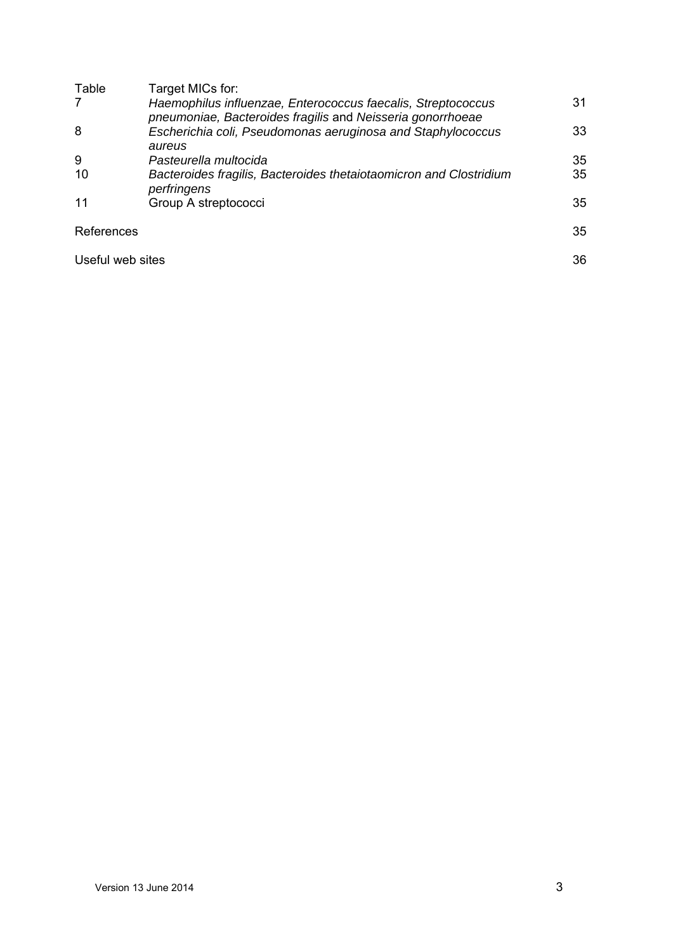| Table            | Target MICs for:                                                                                                           |    |
|------------------|----------------------------------------------------------------------------------------------------------------------------|----|
| 7                | Haemophilus influenzae, Enterococcus faecalis, Streptococcus<br>pneumoniae, Bacteroides fragilis and Neisseria gonorrhoeae | 31 |
| 8                | Escherichia coli, Pseudomonas aeruginosa and Staphylococcus<br>aureus                                                      | 33 |
| 9                | Pasteurella multocida                                                                                                      | 35 |
| 10               | Bacteroides fragilis, Bacteroides thetaiotaomicron and Clostridium<br>perfringens                                          | 35 |
| 11               | Group A streptococci                                                                                                       | 35 |
| References       |                                                                                                                            | 35 |
| Useful web sites |                                                                                                                            | 36 |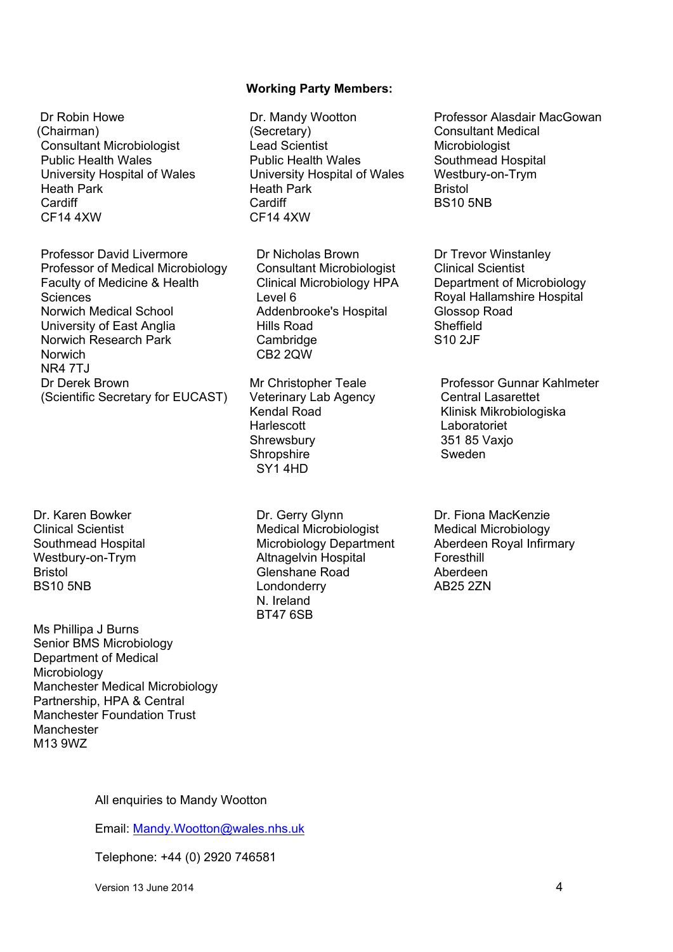#### **Working Party Members:**

 Dr Robin Howe (Chairman) Consultant Microbiologist Public Health Wales University Hospital of Wales Heath Park **Cardiff** CF14 4XW

Professor David Livermore Professor of Medical Microbiology Faculty of Medicine & Health **Sciences** Norwich Medical School University of East Anglia Norwich Research Park Norwich **NR4 7TJ** Dr Derek Brown (Scientific Secretary for EUCAST)

Dr. Karen Bowker Clinical Scientist Southmead Hospital Westbury-on-Trym Bristol BS10 5NB

Ms Phillipa J Burns Senior BMS Microbiology Department of Medical **Microbiology** Manchester Medical Microbiology Partnership, HPA & Central Manchester Foundation Trust Manchester M13 9WZ

Dr. Mandy Wootton (Secretary) Lead Scientist Public Health Wales University Hospital of Wales Heath Park **Cardiff** CF14 4XW

Dr Nicholas Brown Consultant Microbiologist Clinical Microbiology HPA Level 6 Addenbrooke's Hospital Hills Road **Cambridge** CB2 2QW

Mr Christopher Teale Veterinary Lab Agency Kendal Road **Harlescott Shrewsbury Shropshire** SY1 4HD

Dr. Gerry Glynn Medical Microbiologist Microbiology Department Altnagelvin Hospital Glenshane Road Londonderry N. Ireland BT47 6SB

Professor Alasdair MacGowan Consultant Medical **Microbiologist** Southmead Hospital Westbury-on-Trym Bristol BS10 5NB

Dr Trevor Winstanley Clinical Scientist Department of Microbiology Royal Hallamshire Hospital Glossop Road **Sheffield** S10 2JF

Professor Gunnar Kahlmeter Central Lasarettet Klinisk Mikrobiologiska Laboratoriet 351 85 Vaxjo Sweden

Dr. Fiona MacKenzie Medical Microbiology Aberdeen Royal Infirmary Foresthill Aberdeen AB25 2ZN

All enquiries to Mandy Wootton

Email: Mandy.Wootton@wales.nhs.uk

Telephone: +44 (0) 2920 746581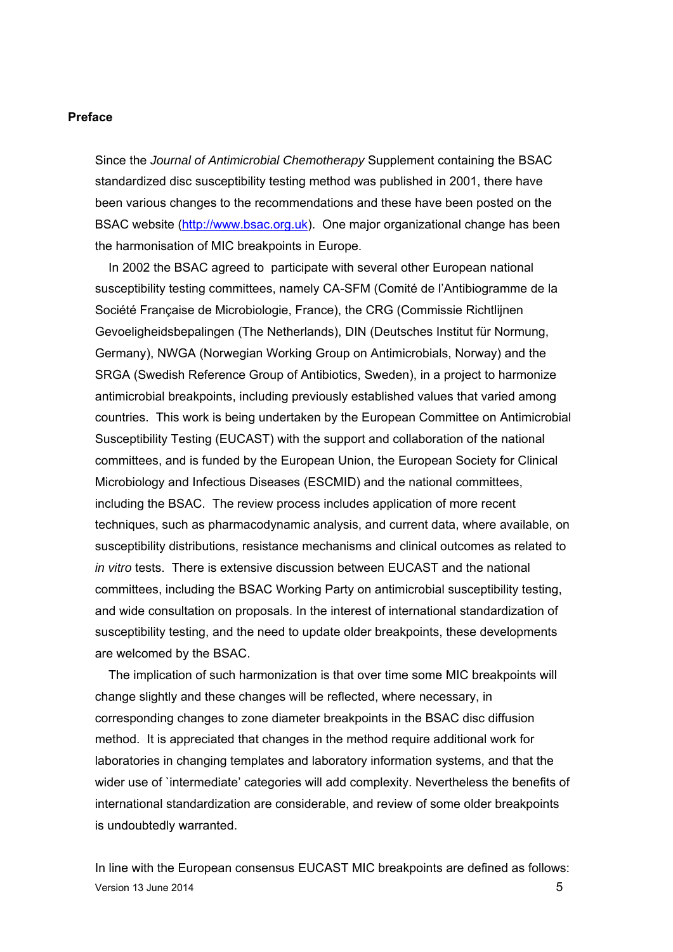#### **Preface**

Since the *Journal of Antimicrobial Chemotherapy* Supplement containing the BSAC standardized disc susceptibility testing method was published in 2001, there have been various changes to the recommendations and these have been posted on the BSAC website (http://www.bsac.org.uk). One major organizational change has been the harmonisation of MIC breakpoints in Europe.

In 2002 the BSAC agreed to participate with several other European national susceptibility testing committees, namely CA-SFM (Comité de l'Antibiogramme de la Société Française de Microbiologie, France), the CRG (Commissie Richtlijnen Gevoeligheidsbepalingen (The Netherlands), DIN (Deutsches Institut für Normung, Germany), NWGA (Norwegian Working Group on Antimicrobials, Norway) and the SRGA (Swedish Reference Group of Antibiotics, Sweden), in a project to harmonize antimicrobial breakpoints, including previously established values that varied among countries. This work is being undertaken by the European Committee on Antimicrobial Susceptibility Testing (EUCAST) with the support and collaboration of the national committees, and is funded by the European Union, the European Society for Clinical Microbiology and Infectious Diseases (ESCMID) and the national committees, including the BSAC. The review process includes application of more recent techniques, such as pharmacodynamic analysis, and current data, where available, on susceptibility distributions, resistance mechanisms and clinical outcomes as related to *in vitro* tests. There is extensive discussion between EUCAST and the national committees, including the BSAC Working Party on antimicrobial susceptibility testing, and wide consultation on proposals. In the interest of international standardization of susceptibility testing, and the need to update older breakpoints, these developments are welcomed by the BSAC.

The implication of such harmonization is that over time some MIC breakpoints will change slightly and these changes will be reflected, where necessary, in corresponding changes to zone diameter breakpoints in the BSAC disc diffusion method. It is appreciated that changes in the method require additional work for laboratories in changing templates and laboratory information systems, and that the wider use of `intermediate' categories will add complexity. Nevertheless the benefits of international standardization are considerable, and review of some older breakpoints is undoubtedly warranted.

Version 13 June 2014 **5** In line with the European consensus EUCAST MIC breakpoints are defined as follows: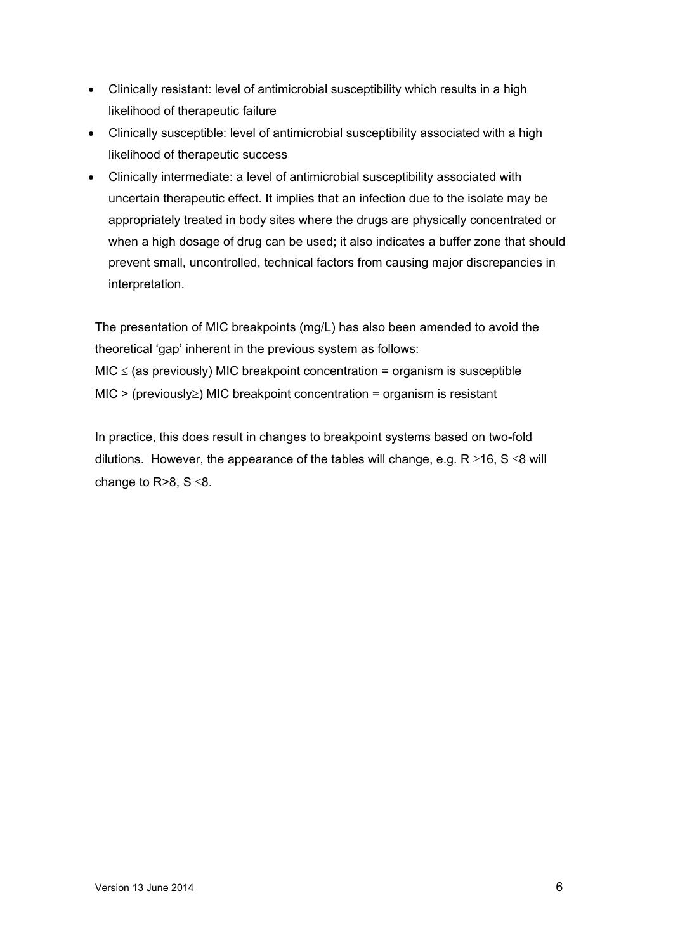- Clinically resistant: level of antimicrobial susceptibility which results in a high likelihood of therapeutic failure
- Clinically susceptible: level of antimicrobial susceptibility associated with a high likelihood of therapeutic success
- Clinically intermediate: a level of antimicrobial susceptibility associated with uncertain therapeutic effect. It implies that an infection due to the isolate may be appropriately treated in body sites where the drugs are physically concentrated or when a high dosage of drug can be used; it also indicates a buffer zone that should prevent small, uncontrolled, technical factors from causing major discrepancies in interpretation.

The presentation of MIC breakpoints (mg/L) has also been amended to avoid the theoretical 'gap' inherent in the previous system as follows:  $MIC \le$  (as previously) MIC breakpoint concentration = organism is susceptible  $MIC$  > (previously  $\geq$ ) MIC breakpoint concentration = organism is resistant

In practice, this does result in changes to breakpoint systems based on two-fold dilutions. However, the appearance of the tables will change, e.g.  $R \ge 16$ , S  $\le 8$  will change to  $R > 8$ ,  $S \le 8$ .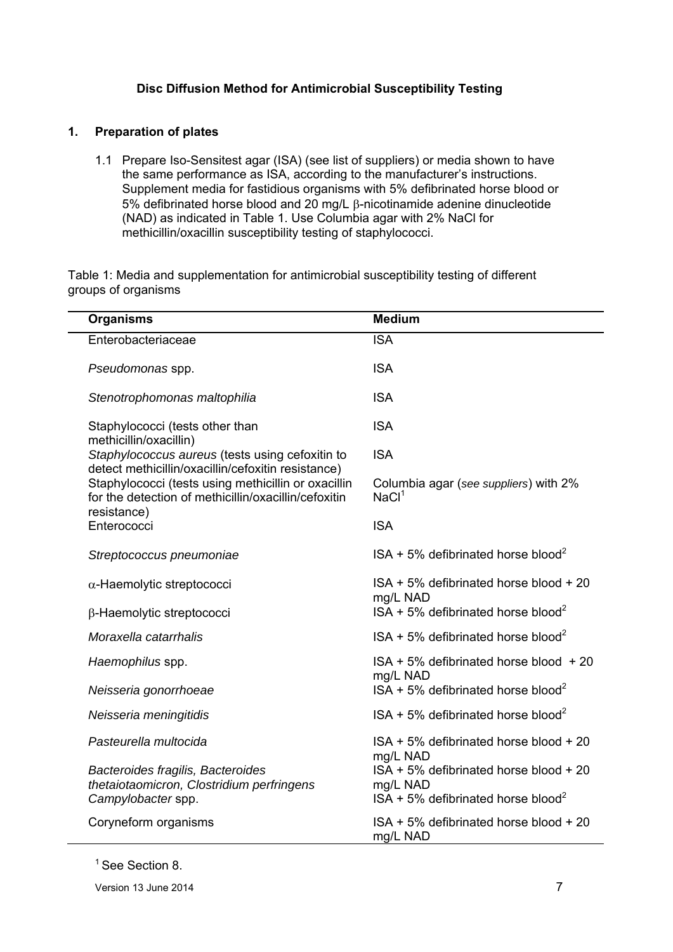### **Disc Diffusion Method for Antimicrobial Susceptibility Testing**

### **1. Preparation of plates**

1.1 Prepare Iso-Sensitest agar (ISA) (see list of suppliers) or media shown to have the same performance as ISA, according to the manufacturer's instructions. Supplement media for fastidious organisms with 5% defibrinated horse blood or  $5%$  defibrinated horse blood and 20 mg/L  $\beta$ -nicotinamide adenine dinucleotide (NAD) as indicated in Table 1. Use Columbia agar with 2% NaCl for methicillin/oxacillin susceptibility testing of staphylococci.

Table 1: Media and supplementation for antimicrobial susceptibility testing of different groups of organisms

| <b>Organisms</b>                                                                                                           | <b>Medium</b>                                                 |
|----------------------------------------------------------------------------------------------------------------------------|---------------------------------------------------------------|
| Enterobacteriaceae                                                                                                         | <b>ISA</b>                                                    |
| Pseudomonas spp.                                                                                                           | <b>ISA</b>                                                    |
| Stenotrophomonas maltophilia                                                                                               | <b>ISA</b>                                                    |
| Staphylococci (tests other than<br>methicillin/oxacillin)                                                                  | <b>ISA</b>                                                    |
| Staphylococcus aureus (tests using cefoxitin to<br>detect methicillin/oxacillin/cefoxitin resistance)                      | <b>ISA</b>                                                    |
| Staphylococci (tests using methicillin or oxacillin<br>for the detection of methicillin/oxacillin/cefoxitin<br>resistance) | Columbia agar (see suppliers) with 2%<br>NaCl <sup>1</sup>    |
| Enterococci                                                                                                                | <b>ISA</b>                                                    |
| Streptococcus pneumoniae                                                                                                   | $ISA + 5\%$ defibrinated horse blood <sup>2</sup>             |
| $\alpha$ -Haemolytic streptococci                                                                                          | ISA + 5% defibrinated horse blood + 20<br>mg/L NAD            |
| β-Haemolytic streptococci                                                                                                  | $ISA + 5\%$ defibrinated horse blood <sup>2</sup>             |
| Moraxella catarrhalis                                                                                                      | $ISA + 5\%$ defibrinated horse blood <sup>2</sup>             |
| Haemophilus spp.                                                                                                           | ISA + 5% defibrinated horse blood + 20<br>mg/L NAD            |
| Neisseria gonorrhoeae                                                                                                      | $ISA + 5\%$ defibrinated horse blood <sup>2</sup>             |
| Neisseria meningitidis                                                                                                     | ISA + 5% defibrinated horse blood <sup>2</sup>                |
| Pasteurella multocida                                                                                                      | ISA + 5% defibrinated horse blood + 20<br>mg/L NAD            |
| Bacteroides fragilis, Bacteroides                                                                                          | ISA + 5% defibrinated horse blood + 20                        |
| thetaiotaomicron, Clostridium perfringens<br>Campylobacter spp.                                                            | mg/L NAD<br>$ISA + 5\%$ defibrinated horse blood <sup>2</sup> |
| Coryneform organisms                                                                                                       | ISA + 5% defibrinated horse blood + 20<br>mg/L NAD            |

<sup>1</sup> See Section 8.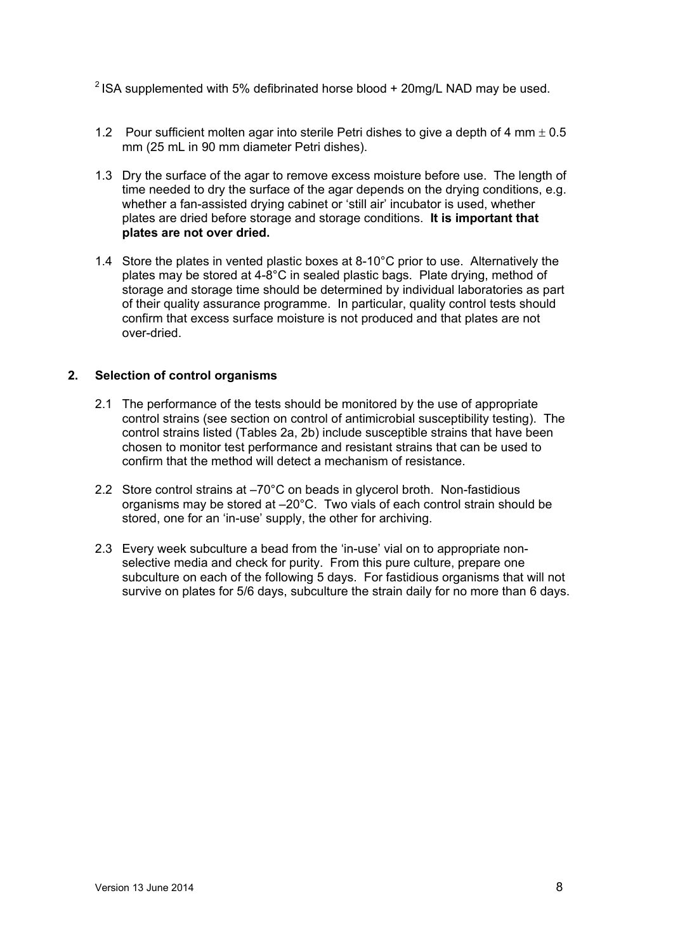<sup>2</sup> ISA supplemented with 5% defibrinated horse blood  $+$  20mg/L NAD may be used.

- 1.2 Pour sufficient molten agar into sterile Petri dishes to give a depth of 4 mm  $\pm$  0.5 mm (25 mL in 90 mm diameter Petri dishes).
- 1.3 Dry the surface of the agar to remove excess moisture before use. The length of time needed to dry the surface of the agar depends on the drying conditions, e.g. whether a fan-assisted drying cabinet or 'still air' incubator is used, whether plates are dried before storage and storage conditions. **It is important that plates are not over dried.**
- 1.4 Store the plates in vented plastic boxes at 8-10°C prior to use. Alternatively the plates may be stored at 4-8°C in sealed plastic bags. Plate drying, method of storage and storage time should be determined by individual laboratories as part of their quality assurance programme. In particular, quality control tests should confirm that excess surface moisture is not produced and that plates are not over-dried.

### **2. Selection of control organisms**

- 2.1 The performance of the tests should be monitored by the use of appropriate control strains (see section on control of antimicrobial susceptibility testing).The control strains listed (Tables 2a, 2b) include susceptible strains that have been chosen to monitor test performance and resistant strains that can be used to confirm that the method will detect a mechanism of resistance.
- 2.2 Store control strains at –70°C on beads in glycerol broth. Non-fastidious organisms may be stored at –20°C. Two vials of each control strain should be stored, one for an 'in-use' supply, the other for archiving.
- 2.3 Every week subculture a bead from the 'in-use' vial on to appropriate nonselective media and check for purity. From this pure culture, prepare one subculture on each of the following 5 days. For fastidious organisms that will not survive on plates for 5/6 days, subculture the strain daily for no more than 6 days.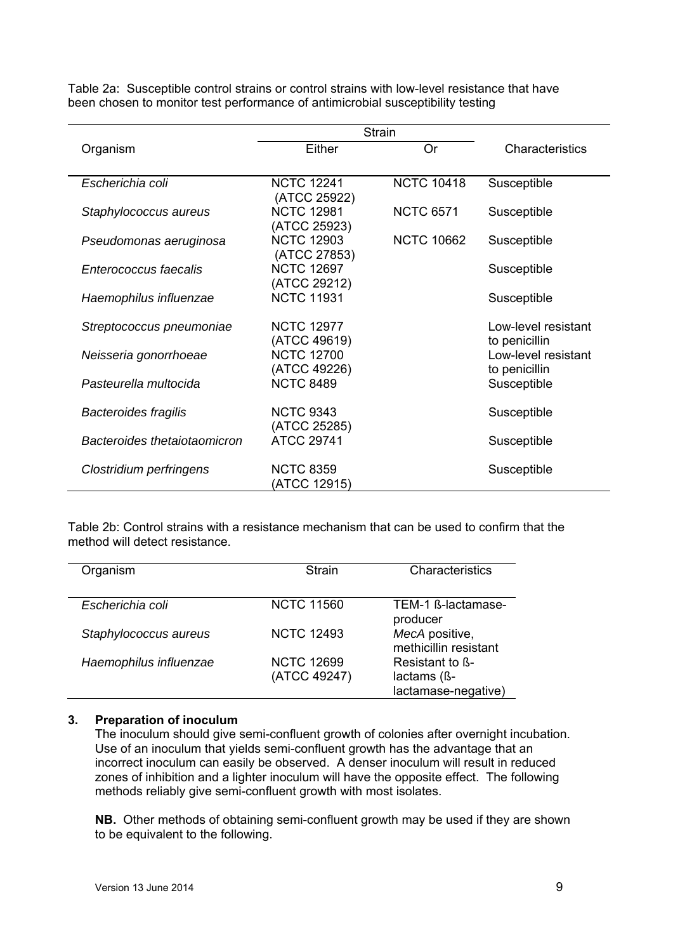|                              | Strain            |                   |                     |
|------------------------------|-------------------|-------------------|---------------------|
| Organism                     | Either            | <b>Or</b>         | Characteristics     |
|                              |                   |                   |                     |
| Escherichia coli             | <b>NCTC 12241</b> | <b>NCTC 10418</b> | Susceptible         |
|                              | (ATCC 25922)      |                   |                     |
| Staphylococcus aureus        | <b>NCTC 12981</b> | <b>NCTC 6571</b>  | Susceptible         |
|                              | (ATCC 25923)      |                   |                     |
| Pseudomonas aeruginosa       | <b>NCTC 12903</b> | <b>NCTC 10662</b> | Susceptible         |
|                              | (ATCC 27853)      |                   |                     |
| Enterococcus faecalis        | <b>NCTC 12697</b> |                   | Susceptible         |
|                              | (ATCC 29212)      |                   |                     |
| Haemophilus influenzae       | <b>NCTC 11931</b> |                   | Susceptible         |
|                              |                   |                   |                     |
| Streptococcus pneumoniae     | <b>NCTC 12977</b> |                   | Low-level resistant |
|                              | (ATCC 49619)      |                   | to penicillin       |
| Neisseria gonorrhoeae        | <b>NCTC 12700</b> |                   | Low-level resistant |
|                              | (ATCC 49226)      |                   | to penicillin       |
| Pasteurella multocida        | <b>NCTC 8489</b>  |                   | Susceptible         |
|                              |                   |                   |                     |
| <b>Bacteroides fragilis</b>  | <b>NCTC 9343</b>  |                   | Susceptible         |
|                              | (ATCC 25285)      |                   |                     |
| Bacteroides thetaiotaomicron | <b>ATCC 29741</b> |                   | Susceptible         |
|                              |                   |                   |                     |
| Clostridium perfringens      | <b>NCTC 8359</b>  |                   | Susceptible         |
|                              | (ATCC 12915)      |                   |                     |

Table 2a: Susceptible control strains or control strains with low-level resistance that have been chosen to monitor test performance of antimicrobial susceptibility testing

Table 2b: Control strains with a resistance mechanism that can be used to confirm that the method will detect resistance.

| Organism               | <b>Strain</b>                     | Characteristics                                       |
|------------------------|-----------------------------------|-------------------------------------------------------|
| Escherichia coli       | <b>NCTC 11560</b>                 | TEM-1 ß-lactamase-<br>producer                        |
| Staphylococcus aureus  | <b>NCTC 12493</b>                 | MecA positive,<br>methicillin resistant               |
| Haemophilus influenzae | <b>NCTC 12699</b><br>(ATCC 49247) | Resistant to B-<br>lactams (ß-<br>lactamase-negative) |

#### **3. Preparation of inoculum**

The inoculum should give semi-confluent growth of colonies after overnight incubation. Use of an inoculum that yields semi-confluent growth has the advantage that an incorrect inoculum can easily be observed. A denser inoculum will result in reduced zones of inhibition and a lighter inoculum will have the opposite effect. The following methods reliably give semi-confluent growth with most isolates.

**NB.** Other methods of obtaining semi-confluent growth may be used if they are shown to be equivalent to the following.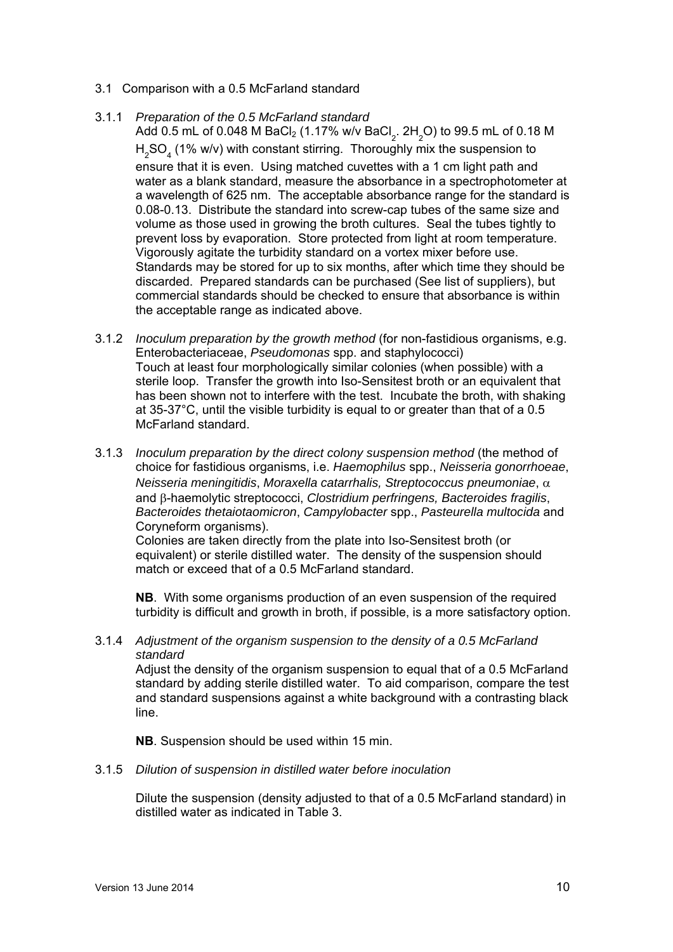- 3.1 Comparison with a 0.5 McFarland standard
- 3.1.1 *Preparation of the 0.5 McFarland standard*

Add 0.5 mL of 0.048 M BaCl $_2$  (1.17% w/v BaCl $_2^{\rm }$ . 2H $_2^{\rm }$ O) to 99.5 mL of 0.18 M  $H<sub>2</sub>SO<sub>4</sub>$  (1% w/v) with constant stirring. Thoroughly mix the suspension to ensure that it is even. Using matched cuvettes with a 1 cm light path and water as a blank standard, measure the absorbance in a spectrophotometer at a wavelength of 625 nm. The acceptable absorbance range for the standard is 0.08-0.13. Distribute the standard into screw-cap tubes of the same size and volume as those used in growing the broth cultures. Seal the tubes tightly to prevent loss by evaporation. Store protected from light at room temperature. Vigorously agitate the turbidity standard on a vortex mixer before use. Standards may be stored for up to six months, after which time they should be discarded. Prepared standards can be purchased (See list of suppliers), but commercial standards should be checked to ensure that absorbance is within the acceptable range as indicated above.

- 3.1.2 *Inoculum preparation by the growth method* (for non-fastidious organisms, e.g. Enterobacteriaceae, *Pseudomonas* spp. and staphylococci) Touch at least four morphologically similar colonies (when possible) with a sterile loop. Transfer the growth into Iso-Sensitest broth or an equivalent that has been shown not to interfere with the test. Incubate the broth, with shaking at 35-37°C, until the visible turbidity is equal to or greater than that of a 0.5 McFarland standard.
- 3.1.3 *Inoculum preparation by the direct colony suspension method* (the method of choice for fastidious organisms, i.e. *Haemophilus* spp., *Neisseria gonorrhoeae*, *Neisseria meningitidis*, *Moraxella catarrhalis, Streptococcus pneumoniae*, and  $\beta$ -haemolytic streptococci, *Clostridium perfringens, Bacteroides fragilis*, *Bacteroides thetaiotaomicron*, *Campylobacter* spp., *Pasteurella multocida* and Coryneform organisms).

Colonies are taken directly from the plate into Iso-Sensitest broth (or equivalent) or sterile distilled water. The density of the suspension should match or exceed that of a 0.5 McFarland standard.

**NB**. With some organisms production of an even suspension of the required turbidity is difficult and growth in broth, if possible, is a more satisfactory option.

3.1.4 *Adjustment of the organism suspension to the density of a 0.5 McFarland standard* 

 Adjust the density of the organism suspension to equal that of a 0.5 McFarland standard by adding sterile distilled water. To aid comparison, compare the test and standard suspensions against a white background with a contrasting black line.

**NB**. Suspension should be used within 15 min.

3.1.5 *Dilution of suspension in distilled water before inoculation* 

Dilute the suspension (density adjusted to that of a 0.5 McFarland standard) in distilled water as indicated in Table 3.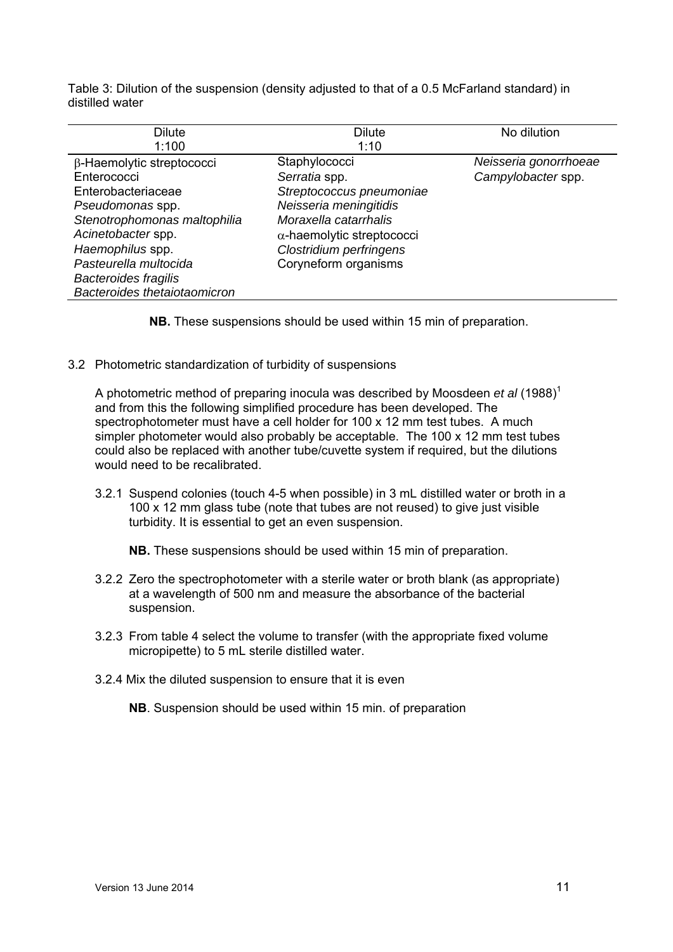Table 3: Dilution of the suspension (density adjusted to that of a 0.5 McFarland standard) in distilled water

| Dilute                       | <b>Dilute</b>                     | No dilution           |
|------------------------------|-----------------------------------|-----------------------|
| 1:100                        | 1:10                              |                       |
| β-Haemolytic streptococci    | Staphylococci                     | Neisseria gonorrhoeae |
| Enterococci                  | Serratia spp.                     | Campylobacter spp.    |
| Enterobacteriaceae           | Streptococcus pneumoniae          |                       |
| Pseudomonas spp.             | Neisseria meningitidis            |                       |
| Stenotrophomonas maltophilia | Moraxella catarrhalis             |                       |
| Acinetobacter spp.           | $\alpha$ -haemolytic streptococci |                       |
| Haemophilus spp.             | Clostridium perfringens           |                       |
| Pasteurella multocida        | Coryneform organisms              |                       |
| <b>Bacteroides fragilis</b>  |                                   |                       |
| Bacteroides thetaiotaomicron |                                   |                       |

**NB.** These suspensions should be used within 15 min of preparation.

3.2 Photometric standardization of turbidity of suspensions

A photometric method of preparing inocula was described by Moosdeen *et al* (1988)<sup>1</sup> and from this the following simplified procedure has been developed. The spectrophotometer must have a cell holder for 100 x 12 mm test tubes. A much simpler photometer would also probably be acceptable. The 100 x 12 mm test tubes could also be replaced with another tube/cuvette system if required, but the dilutions would need to be recalibrated.

3.2.1 Suspend colonies (touch 4-5 when possible) in 3 mL distilled water or broth in a 100 x 12 mm glass tube (note that tubes are not reused) to give just visible turbidity. It is essential to get an even suspension.

**NB.** These suspensions should be used within 15 min of preparation.

- 3.2.2 Zero the spectrophotometer with a sterile water or broth blank (as appropriate) at a wavelength of 500 nm and measure the absorbance of the bacterial suspension.
- 3.2.3 From table 4 select the volume to transfer (with the appropriate fixed volume micropipette) to 5 mL sterile distilled water.
- 3.2.4 Mix the diluted suspension to ensure that it is even

**NB**. Suspension should be used within 15 min. of preparation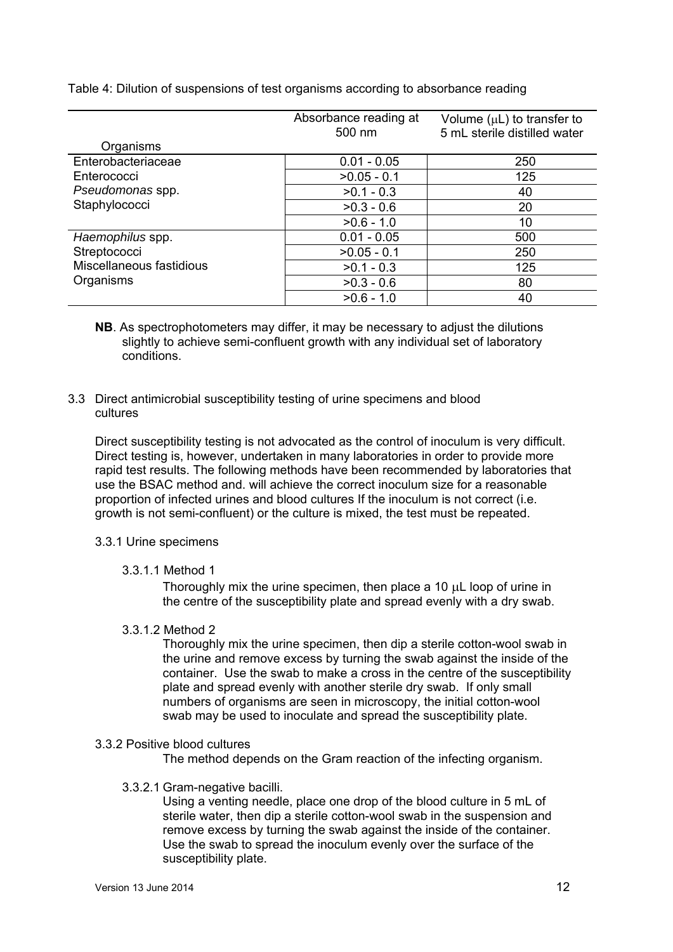Table 4: Dilution of suspensions of test organisms according to absorbance reading

|                          | Absorbance reading at<br>500 nm | Volume $(\mu L)$ to transfer to<br>5 mL sterile distilled water |
|--------------------------|---------------------------------|-----------------------------------------------------------------|
| Organisms                |                                 |                                                                 |
| Enterobacteriaceae       | $0.01 - 0.05$                   | 250                                                             |
| Enterococci              | $>0.05 - 0.1$                   | 125                                                             |
| Pseudomonas spp.         | $>0.1 - 0.3$                    | 40                                                              |
| Staphylococci            | $>0.3 - 0.6$                    | 20                                                              |
|                          | $>0.6 - 1.0$                    | 10                                                              |
| Haemophilus spp.         | $0.01 - 0.05$                   | 500                                                             |
| Streptococci             | $>0.05 - 0.1$                   | 250                                                             |
| Miscellaneous fastidious | $>0.1 - 0.3$                    | 125                                                             |
| Organisms                | $>0.3 - 0.6$                    | 80                                                              |
|                          | $>0.6 - 1.0$                    | 40                                                              |

- **NB**. As spectrophotometers may differ, it may be necessary to adjust the dilutions slightly to achieve semi-confluent growth with any individual set of laboratory conditions.
- 3.3 Direct antimicrobial susceptibility testing of urine specimens and blood cultures

 Direct susceptibility testing is not advocated as the control of inoculum is very difficult. Direct testing is, however, undertaken in many laboratories in order to provide more rapid test results. The following methods have been recommended by laboratories that use the BSAC method and. will achieve the correct inoculum size for a reasonable proportion of infected urines and blood cultures If the inoculum is not correct (i.e. growth is not semi-confluent) or the culture is mixed, the test must be repeated.

#### 3.3.1 Urine specimens

3.3.1.1 Method 1

Thoroughly mix the urine specimen, then place a 10 uL loop of urine in the centre of the susceptibility plate and spread evenly with a dry swab.

3.3.1.2 Method 2

Thoroughly mix the urine specimen, then dip a sterile cotton-wool swab in the urine and remove excess by turning the swab against the inside of the container. Use the swab to make a cross in the centre of the susceptibility plate and spread evenly with another sterile dry swab. If only small numbers of organisms are seen in microscopy, the initial cotton-wool swab may be used to inoculate and spread the susceptibility plate.

#### 3.3.2 Positive blood cultures

The method depends on the Gram reaction of the infecting organism.

3.3.2.1 Gram-negative bacilli.

Using a venting needle, place one drop of the blood culture in 5 mL of sterile water, then dip a sterile cotton-wool swab in the suspension and remove excess by turning the swab against the inside of the container. Use the swab to spread the inoculum evenly over the surface of the susceptibility plate.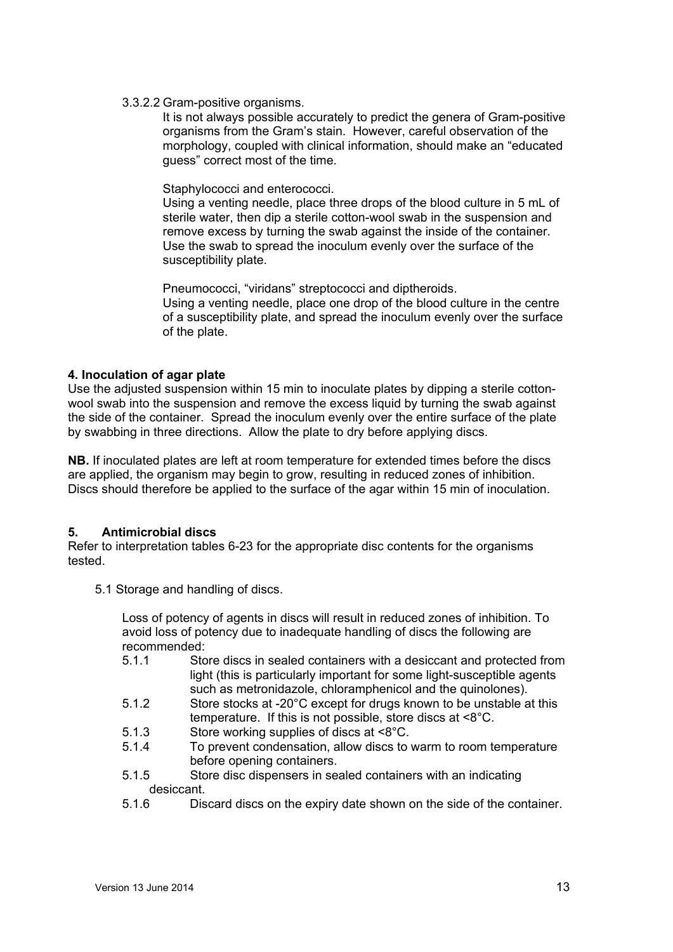### 3.3.2.2 Gram-positive organisms.

It is not always possible accurately to predict the genera of Gram-positive organisms from the Gram's stain. However, careful observation of the morphology, coupled with clinical information, should make an "educated guess" correct most of the time.

### Staphylococci and enterococci.

Using a venting needle, place three drops of the blood culture in 5 mL of sterile water, then dip a sterile cotton-wool swab in the suspension and remove excess by turning the swab against the inside of the container. Use the swab to spread the inoculum evenly over the surface of the susceptibility plate.

Pneumococci, "viridans" streptococci and diptheroids.

Using a venting needle, place one drop of the blood culture in the centre of a susceptibility plate, and spread the inoculum evenly over the surface of the plate.

### **4. Inoculation of agar plate**

Use the adjusted suspension within 15 min to inoculate plates by dipping a sterile cottonwool swab into the suspension and remove the excess liquid by turning the swab against the side of the container. Spread the inoculum evenly over the entire surface of the plate by swabbing in three directions. Allow the plate to dry before applying discs.

**NB.** If inoculated plates are left at room temperature for extended times before the discs are applied, the organism may begin to grow, resulting in reduced zones of inhibition. Discs should therefore be applied to the surface of the agar within 15 min of inoculation.

### **5. Antimicrobial discs**

Refer to interpretation tables 6-23 for the appropriate disc contents for the organisms tested.

5.1 Storage and handling of discs.

Loss of potency of agents in discs will result in reduced zones of inhibition. To avoid loss of potency due to inadequate handling of discs the following are recommended:

- 5.1.1 Store discs in sealed containers with a desiccant and protected from light (this is particularly important for some light-susceptible agents such as metronidazole, chloramphenicol and the quinolones).
- 5.1.2 Store stocks at -20°C except for drugs known to be unstable at this temperature. If this is not possible, store discs at <8°C.
- 5.1.3 Store working supplies of discs at <8°C.
- 5.1.4 To prevent condensation, allow discs to warm to room temperature before opening containers.
- 5.1.5 Store disc dispensers in sealed containers with an indicating desiccant.
- 5.1.6 Discard discs on the expiry date shown on the side of the container.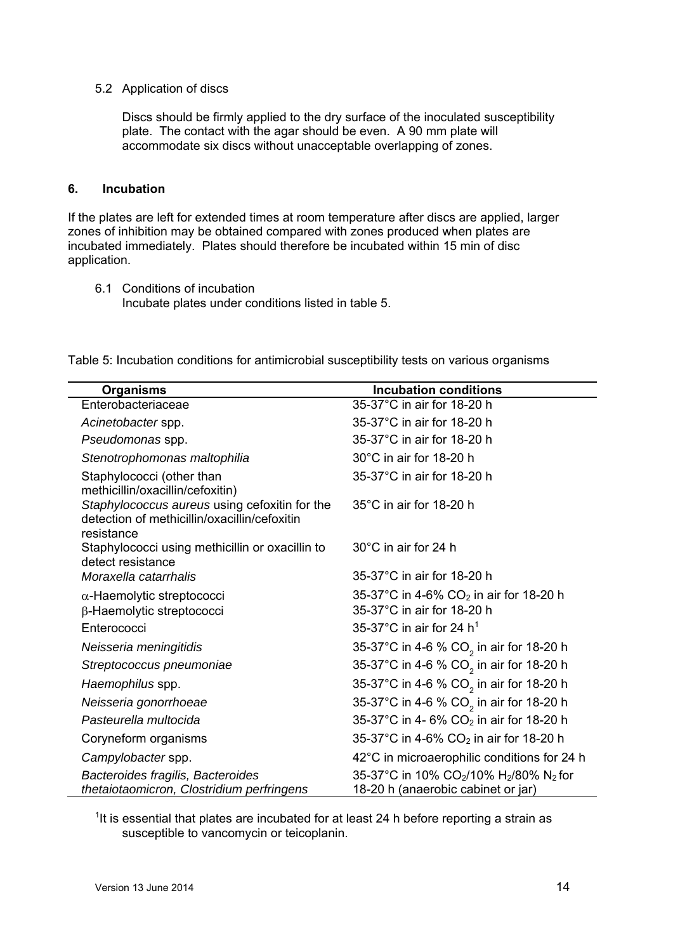### 5.2 Application of discs

Discs should be firmly applied to the dry surface of the inoculated susceptibility plate. The contact with the agar should be even. A 90 mm plate will accommodate six discs without unacceptable overlapping of zones.

### **6. Incubation**

If the plates are left for extended times at room temperature after discs are applied, larger zones of inhibition may be obtained compared with zones produced when plates are incubated immediately. Plates should therefore be incubated within 15 min of disc application.

6.1 Conditions of incubation Incubate plates under conditions listed in table 5.

| <b>Organisms</b>                                                                                            | <b>Incubation conditions</b>                                                                                     |
|-------------------------------------------------------------------------------------------------------------|------------------------------------------------------------------------------------------------------------------|
| Enterobacteriaceae                                                                                          | 35-37°C in air for 18-20 h                                                                                       |
| Acinetobacter spp.                                                                                          | 35-37°C in air for 18-20 h                                                                                       |
| Pseudomonas spp.                                                                                            | 35-37°C in air for 18-20 h                                                                                       |
| Stenotrophomonas maltophilia                                                                                | 30°C in air for 18-20 h                                                                                          |
| Staphylococci (other than<br>methicillin/oxacillin/cefoxitin)                                               | 35-37°C in air for 18-20 h                                                                                       |
| Staphylococcus aureus using cefoxitin for the<br>detection of methicillin/oxacillin/cefoxitin<br>resistance | 35°C in air for 18-20 h                                                                                          |
| Staphylococci using methicillin or oxacillin to<br>detect resistance                                        | 30°C in air for 24 h                                                                                             |
| Moraxella catarrhalis                                                                                       | 35-37°C in air for 18-20 h                                                                                       |
| $\alpha$ -Haemolytic streptococci                                                                           | 35-37°C in 4-6% CO <sub>2</sub> in air for 18-20 h                                                               |
| β-Haemolytic streptococci                                                                                   | 35-37°C in air for 18-20 h                                                                                       |
| Enterococci                                                                                                 | 35-37 $^{\circ}$ C in air for 24 h <sup>1</sup>                                                                  |
| Neisseria meningitidis                                                                                      | 35-37°C in 4-6 % CO <sub>2</sub> in air for 18-20 h                                                              |
| Streptococcus pneumoniae                                                                                    | 35-37°C in 4-6 % CO <sub>2</sub> in air for 18-20 h                                                              |
| Haemophilus spp.                                                                                            | 35-37°C in 4-6 % CO <sub>2</sub> in air for 18-20 h                                                              |
| Neisseria gonorrhoeae                                                                                       | 35-37°C in 4-6 % CO <sub>2</sub> in air for 18-20 h                                                              |
| Pasteurella multocida                                                                                       | 35-37°C in 4- 6% CO <sub>2</sub> in air for 18-20 h                                                              |
| Coryneform organisms                                                                                        | 35-37°C in 4-6% $CO2$ in air for 18-20 h                                                                         |
| Campylobacter spp.                                                                                          | 42°C in microaerophilic conditions for 24 h                                                                      |
| Bacteroides fragilis, Bacteroides<br>thetaiotaomicron, Clostridium perfringens                              | 35-37°C in 10% CO <sub>2</sub> /10% H <sub>2</sub> /80% N <sub>2</sub> for<br>18-20 h (anaerobic cabinet or jar) |

Table 5: Incubation conditions for antimicrobial susceptibility tests on various organisms

 $<sup>1</sup>$ It is essential that plates are incubated for at least 24 h before reporting a strain as</sup> susceptible to vancomycin or teicoplanin.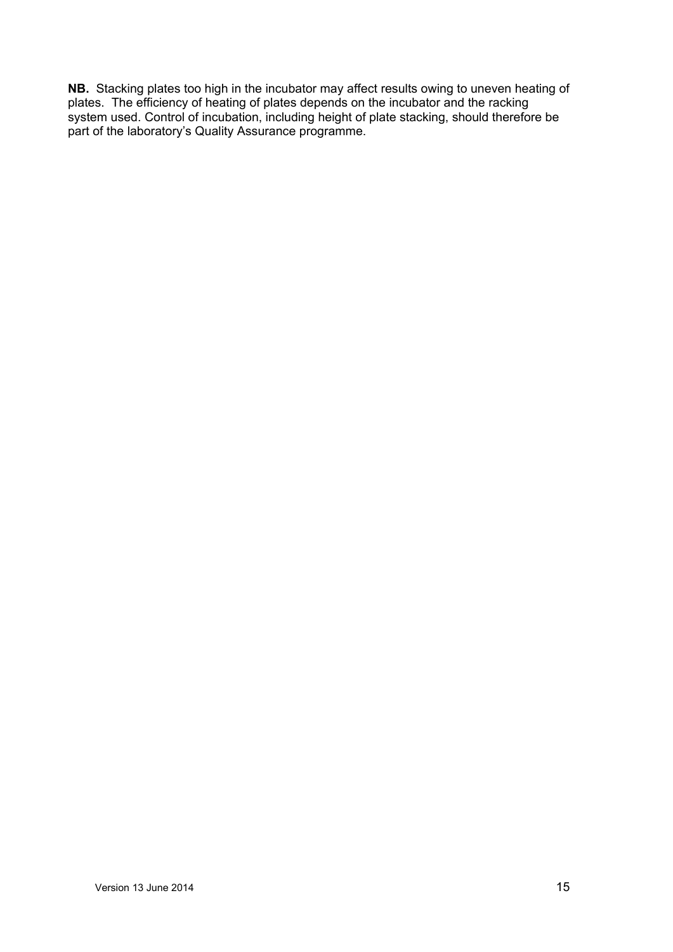**NB.** Stacking plates too high in the incubator may affect results owing to uneven heating of plates. The efficiency of heating of plates depends on the incubator and the racking system used. Control of incubation, including height of plate stacking, should therefore be part of the laboratory's Quality Assurance programme.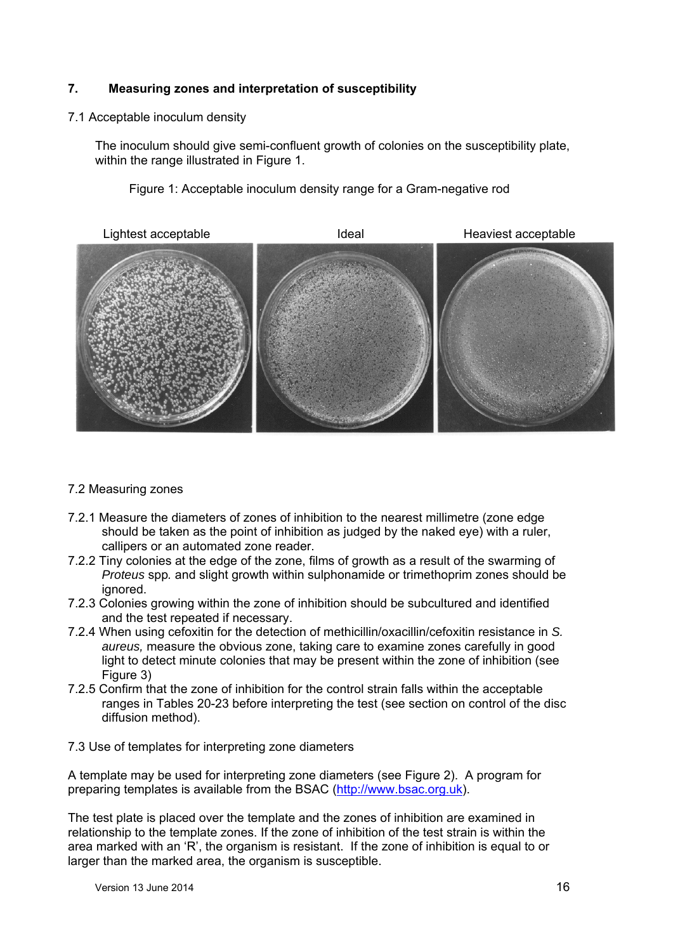### **7. Measuring zones and interpretation of susceptibility**

### 7.1 Acceptable inoculum density

The inoculum should give semi-confluent growth of colonies on the susceptibility plate, within the range illustrated in Figure 1.

Figure 1: Acceptable inoculum density range for a Gram-negative rod



### 7.2 Measuring zones

- 7.2.1 Measure the diameters of zones of inhibition to the nearest millimetre (zone edge should be taken as the point of inhibition as judged by the naked eye) with a ruler, callipers or an automated zone reader.
- 7.2.2 Tiny colonies at the edge of the zone, films of growth as a result of the swarming of *Proteus* spp*.* and slight growth within sulphonamide or trimethoprim zones should be ignored.
- 7.2.3 Colonies growing within the zone of inhibition should be subcultured and identified and the test repeated if necessary.
- 7.2.4 When using cefoxitin for the detection of methicillin/oxacillin/cefoxitin resistance in *S. aureus,* measure the obvious zone, taking care to examine zones carefully in good light to detect minute colonies that may be present within the zone of inhibition (see Figure 3)
- 7.2.5 Confirm that the zone of inhibition for the control strain falls within the acceptable ranges in Tables 20-23 before interpreting the test (see section on control of the disc diffusion method).
- 7.3 Use of templates for interpreting zone diameters

A template may be used for interpreting zone diameters (see Figure 2). A program for preparing templates is available from the BSAC (http://www.bsac.org.uk).

The test plate is placed over the template and the zones of inhibition are examined in relationship to the template zones. If the zone of inhibition of the test strain is within the area marked with an 'R', the organism is resistant. If the zone of inhibition is equal to or larger than the marked area, the organism is susceptible.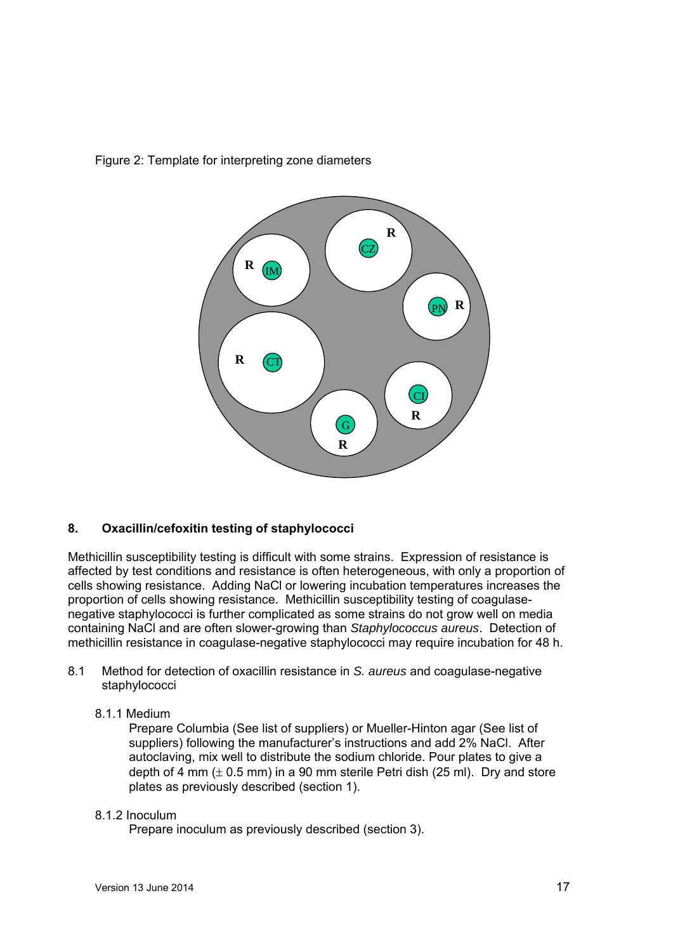

# Figure 2: Template for interpreting zone diameters

### **8. Oxacillin/cefoxitin testing of staphylococci**

Methicillin susceptibility testing is difficult with some strains. Expression of resistance is affected by test conditions and resistance is often heterogeneous, with only a proportion of cells showing resistance. Adding NaCl or lowering incubation temperatures increases the proportion of cells showing resistance. Methicillin susceptibility testing of coagulasenegative staphylococci is further complicated as some strains do not grow well on media containing NaCl and are often slower-growing than *Staphylococcus aureus*. Detection of methicillin resistance in coagulase-negative staphylococci may require incubation for 48 h.

- 8.1 Method for detection of oxacillin resistance in *S. aureus* and coagulase-negative staphylococci
	- 8.1.1 Medium

Prepare Columbia (See list of suppliers) or Mueller-Hinton agar (See list of suppliers) following the manufacturer's instructions and add 2% NaCl. After autoclaving, mix well to distribute the sodium chloride. Pour plates to give a depth of 4 mm  $(\pm 0.5$  mm) in a 90 mm sterile Petri dish (25 ml). Dry and store plates as previously described (section 1).

### 8.1.2 Inoculum

Prepare inoculum as previously described (section 3).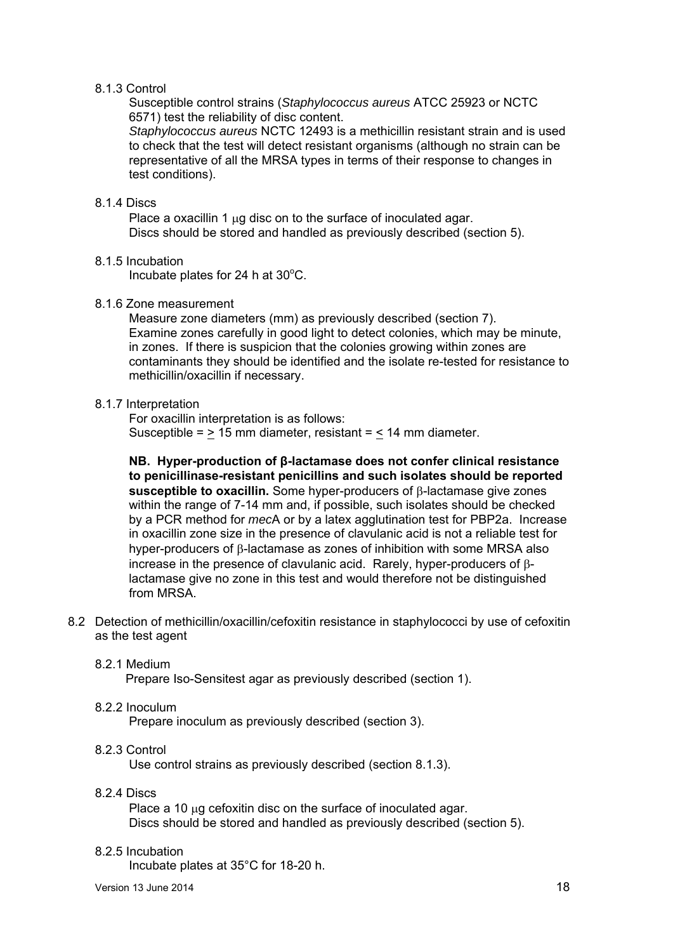#### 8.1.3 Control

Susceptible control strains (*Staphylococcus aureus* ATCC 25923 or NCTC 6571) test the reliability of disc content.

*Staphylococcus aureus* NCTC 12493 is a methicillin resistant strain and is used to check that the test will detect resistant organisms (although no strain can be representative of all the MRSA types in terms of their response to changes in test conditions).

#### 8.1.4 Discs

Place a oxacillin 1  $\mu$ q disc on to the surface of inoculated agar. Discs should be stored and handled as previously described (section 5).

### 8.1.5 Incubation

Incubate plates for 24 h at  $30^{\circ}$ C.

#### 8.1.6 Zone measurement

Measure zone diameters (mm) as previously described (section 7). Examine zones carefully in good light to detect colonies, which may be minute, in zones. If there is suspicion that the colonies growing within zones are contaminants they should be identified and the isolate re-tested for resistance to methicillin/oxacillin if necessary.

#### 8.1.7 Interpretation

For oxacillin interpretation is as follows: Susceptible =  $\geq$  15 mm diameter, resistant =  $\leq$  14 mm diameter.

**NB. Hyper-production of β-lactamase does not confer clinical resistance to penicillinase-resistant penicillins and such isolates should be reported**  susceptible to oxacillin. Some hyper-producers of **B-lactamase give zones** within the range of 7-14 mm and, if possible, such isolates should be checked by a PCR method for *mec*A or by a latex agglutination test for PBP2a. Increase in oxacillin zone size in the presence of clavulanic acid is not a reliable test for hyper-producers of  $\beta$ -lactamase as zones of inhibition with some MRSA also increase in the presence of clavulanic acid. Rarely, hyper-producers of  $\beta$ lactamase give no zone in this test and would therefore not be distinguished from MRSA.

8.2 Detection of methicillin/oxacillin/cefoxitin resistance in staphylococci by use of cefoxitin as the test agent

#### 8.2.1 Medium

Prepare Iso-Sensitest agar as previously described (section 1).

#### 8.2.2 Inoculum

Prepare inoculum as previously described (section 3).

### 8.2.3 Control

Use control strains as previously described (section 8.1.3).

#### 8.2.4 Discs

Place a 10  $\mu$ g cefoxitin disc on the surface of inoculated agar. Discs should be stored and handled as previously described (section 5).

#### 8.2.5 Incubation

Incubate plates at 35°C for 18-20 h.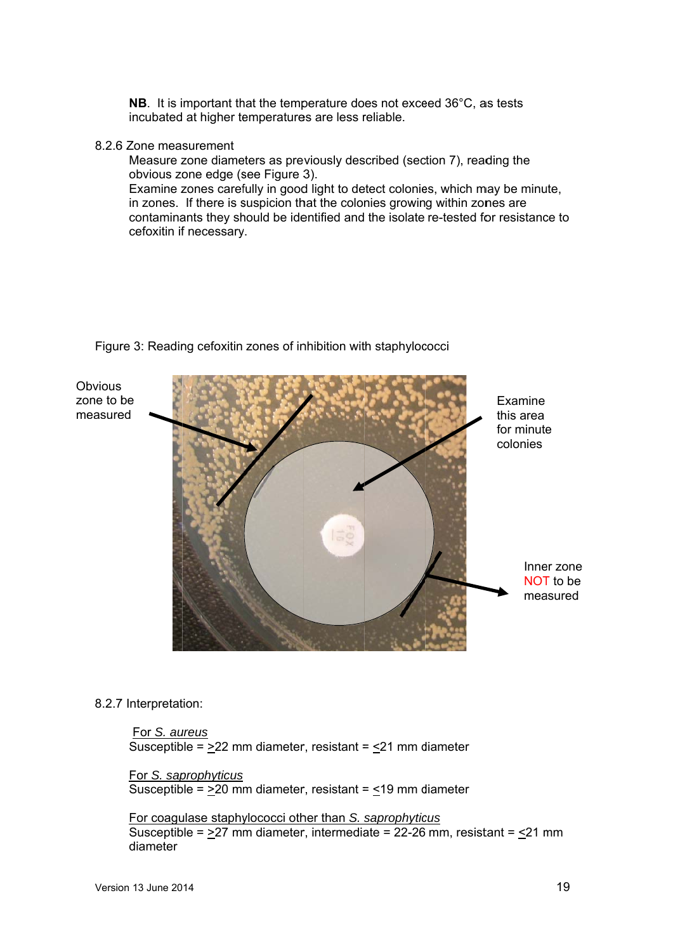**NB**. It is important that the temperature does not exceed  $36^{\circ}$ C, as tests incubated at higher temperatures are less reliable.

#### 8.2.6 6 Zone mea surement

Measure zone diameters as previously described (section 7), reading the obvious zone edge (see Figure 3). Examine zones carefully in good light to detect colonies, which may be minute, in zones. If there is suspicion that the colonies growing within zones are contaminants they should be identified and the isolate re-tested for resistance to cefoxitin if necessary.



Figure 3: Reading cefoxitin zones of inhibition with staphylococci

### 8.2.7 Interpretation:

 For *S. au ureus* Susceptible =  $\geq$ 22 mm diameter, resistant =  $\leq$ 21 mm diameter

For *S. sap prophyticus* Susceptible =  $\geq$ 20 mm diameter, resistant =  $\leq$ 19 mm diameter

**For coagulase staphylococci other than S. saprophyticus** Susceptible =  $\geq$ 27 mm diameter, intermediate = 22-26 mm, resistant =  $\leq$ 21 mm diameter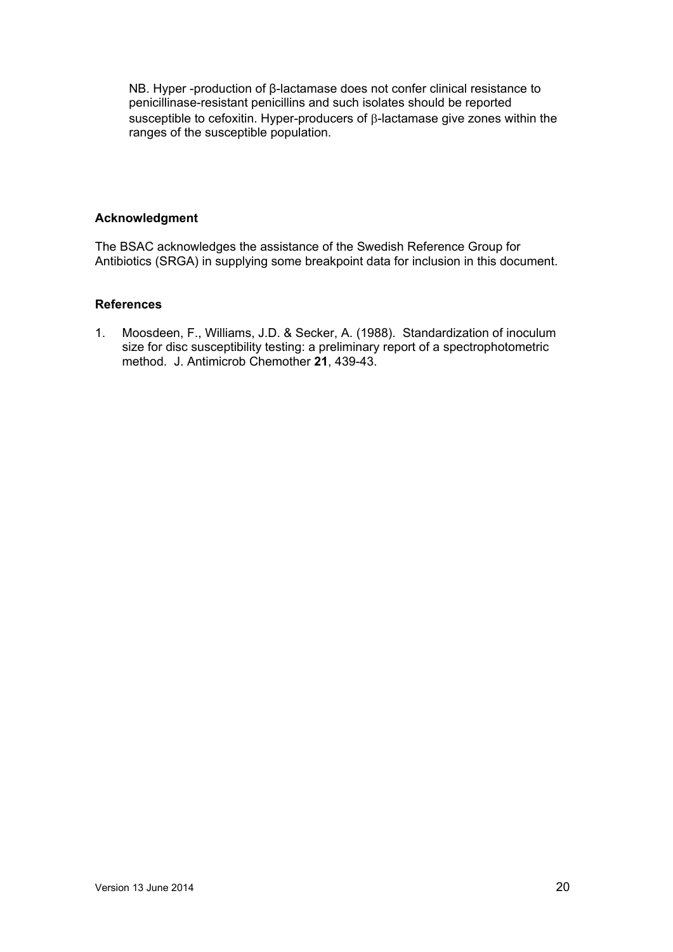NB. Hyper -production of β-lactamase does not confer clinical resistance to penicillinase-resistant penicillins and such isolates should be reported susceptible to cefoxitin. Hyper-producers of  $\beta$ -lactamase give zones within the ranges of the susceptible population.

#### **Acknowledgment**

The BSAC acknowledges the assistance of the Swedish Reference Group for Antibiotics (SRGA) in supplying some breakpoint data for inclusion in this document.

### **References**

1. Moosdeen, F., Williams, J.D. & Secker, A. (1988). Standardization of inoculum size for disc susceptibility testing: a preliminary report of a spectrophotometric method. J. Antimicrob Chemother **21**, 439-43.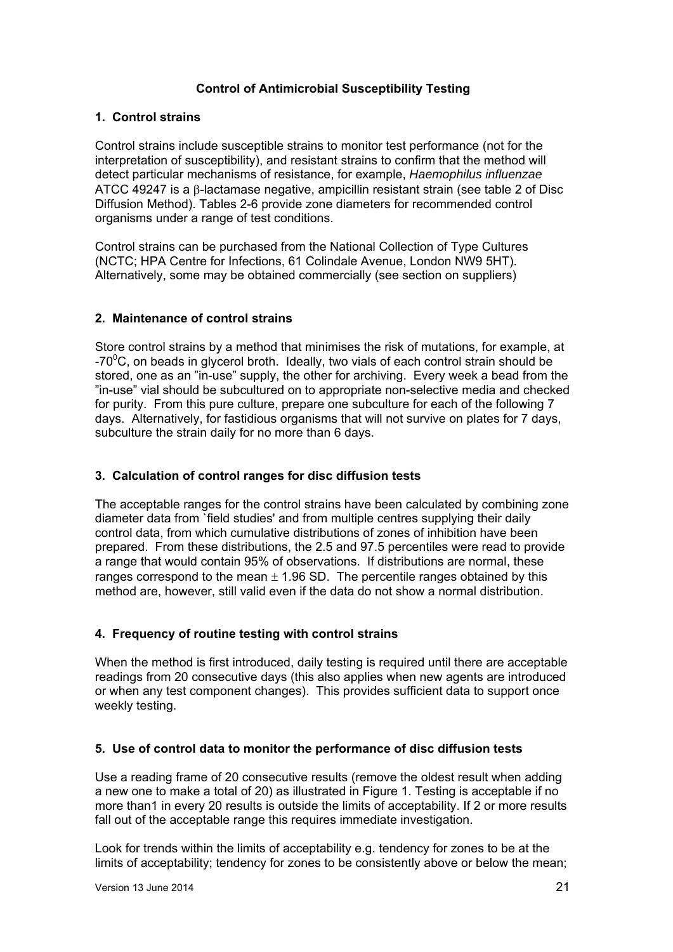### **Control of Antimicrobial Susceptibility Testing**

### **1. Control strains**

Control strains include susceptible strains to monitor test performance (not for the interpretation of susceptibility), and resistant strains to confirm that the method will detect particular mechanisms of resistance, for example, *Haemophilus influenzae* ATCC 49247 is a  $\beta$ -lactamase negative, ampicillin resistant strain (see table 2 of Disc Diffusion Method). Tables 2-6 provide zone diameters for recommended control organisms under a range of test conditions.

Control strains can be purchased from the National Collection of Type Cultures (NCTC; HPA Centre for Infections, 61 Colindale Avenue, London NW9 5HT). Alternatively, some may be obtained commercially (see section on suppliers)

### **2. Maintenance of control strains**

Store control strains by a method that minimises the risk of mutations, for example, at -70 $\mathrm{^0C}$ , on beads in glycerol broth. Ideally, two vials of each control strain should be stored, one as an "in-use" supply, the other for archiving. Every week a bead from the "in-use" vial should be subcultured on to appropriate non-selective media and checked for purity. From this pure culture, prepare one subculture for each of the following 7 days. Alternatively, for fastidious organisms that will not survive on plates for 7 days, subculture the strain daily for no more than 6 days.

### **3. Calculation of control ranges for disc diffusion tests**

The acceptable ranges for the control strains have been calculated by combining zone diameter data from `field studies' and from multiple centres supplying their daily control data, from which cumulative distributions of zones of inhibition have been prepared. From these distributions, the 2.5 and 97.5 percentiles were read to provide a range that would contain 95% of observations. If distributions are normal, these ranges correspond to the mean  $\pm$  1.96 SD. The percentile ranges obtained by this method are, however, still valid even if the data do not show a normal distribution.

## **4. Frequency of routine testing with control strains**

When the method is first introduced, daily testing is required until there are acceptable readings from 20 consecutive days (this also applies when new agents are introduced or when any test component changes). This provides sufficient data to support once weekly testing.

### **5. Use of control data to monitor the performance of disc diffusion tests**

Use a reading frame of 20 consecutive results (remove the oldest result when adding a new one to make a total of 20) as illustrated in Figure 1. Testing is acceptable if no more than1 in every 20 results is outside the limits of acceptability. If 2 or more results fall out of the acceptable range this requires immediate investigation.

Look for trends within the limits of acceptability e.g. tendency for zones to be at the limits of acceptability; tendency for zones to be consistently above or below the mean;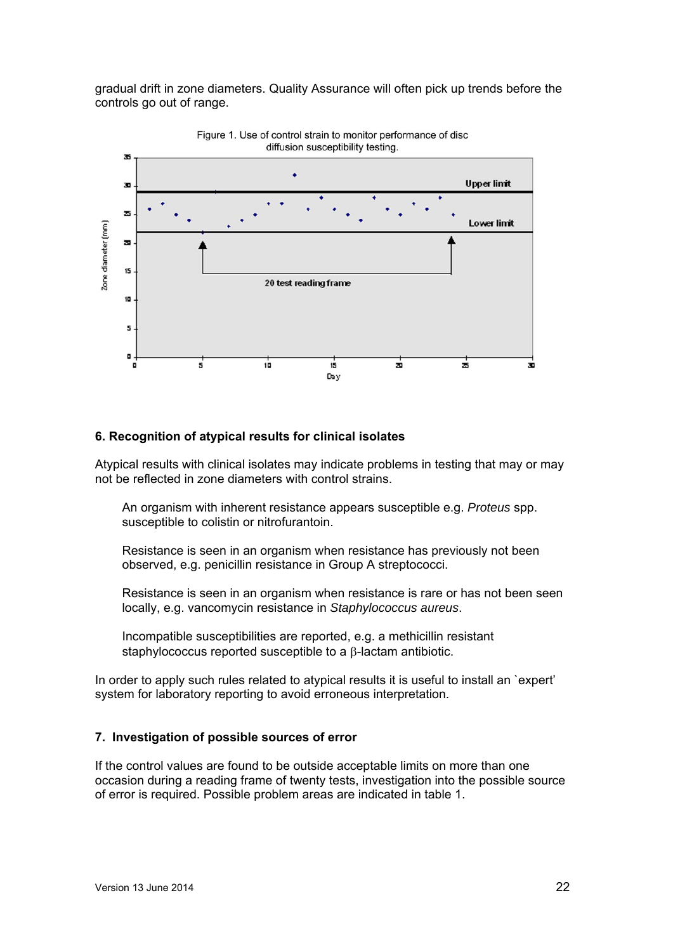gradual drift in zone diameters. Quality Assurance will often pick up trends before the controls go out of range.



Figure 1. Use of control strain to monitor performance of disc

### **6. Recognition of atypical results for clinical isolates**

Atypical results with clinical isolates may indicate problems in testing that may or may not be reflected in zone diameters with control strains.

An organism with inherent resistance appears susceptible e.g. *Proteus* spp. susceptible to colistin or nitrofurantoin.

Resistance is seen in an organism when resistance has previously not been observed, e.g. penicillin resistance in Group A streptococci.

Resistance is seen in an organism when resistance is rare or has not been seen locally, e.g. vancomycin resistance in *Staphylococcus aureus*.

Incompatible susceptibilities are reported, e.g. a methicillin resistant staphylococcus reported susceptible to a  $\beta$ -lactam antibiotic.

In order to apply such rules related to atypical results it is useful to install an `expert' system for laboratory reporting to avoid erroneous interpretation.

### **7. Investigation of possible sources of error**

If the control values are found to be outside acceptable limits on more than one occasion during a reading frame of twenty tests, investigation into the possible source of error is required. Possible problem areas are indicated in table 1.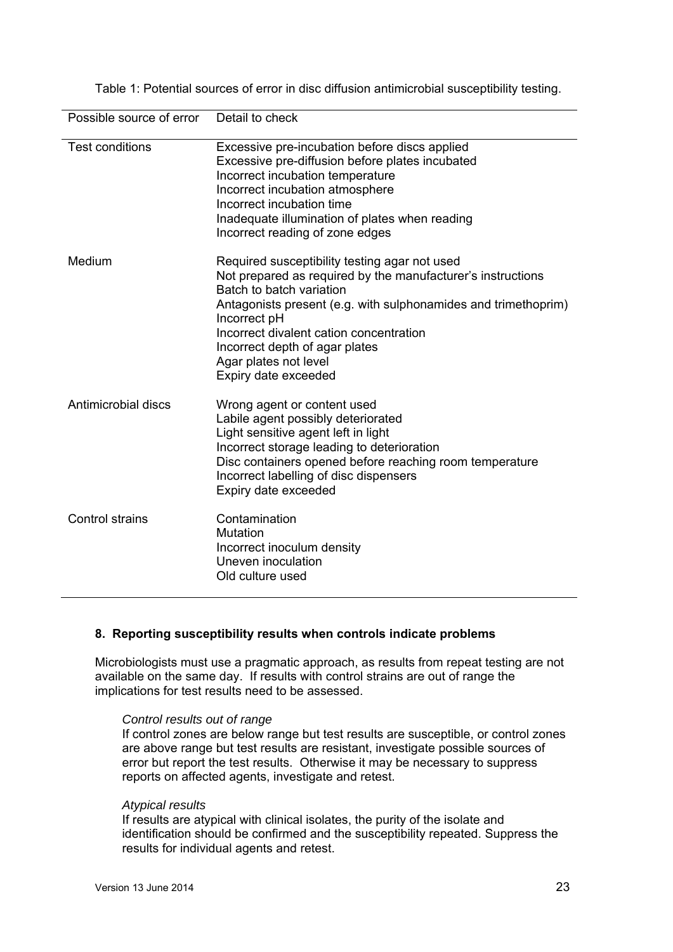| Possible source of error | Detail to check                                                                                                                                                                                                                                                                                                                                          |
|--------------------------|----------------------------------------------------------------------------------------------------------------------------------------------------------------------------------------------------------------------------------------------------------------------------------------------------------------------------------------------------------|
| <b>Test conditions</b>   | Excessive pre-incubation before discs applied<br>Excessive pre-diffusion before plates incubated<br>Incorrect incubation temperature<br>Incorrect incubation atmosphere<br>Incorrect incubation time<br>Inadequate illumination of plates when reading<br>Incorrect reading of zone edges                                                                |
| Medium                   | Required susceptibility testing agar not used<br>Not prepared as required by the manufacturer's instructions<br>Batch to batch variation<br>Antagonists present (e.g. with sulphonamides and trimethoprim)<br>Incorrect pH<br>Incorrect divalent cation concentration<br>Incorrect depth of agar plates<br>Agar plates not level<br>Expiry date exceeded |
| Antimicrobial discs      | Wrong agent or content used<br>Labile agent possibly deteriorated<br>Light sensitive agent left in light<br>Incorrect storage leading to deterioration<br>Disc containers opened before reaching room temperature<br>Incorrect labelling of disc dispensers<br>Expiry date exceeded                                                                      |
| <b>Control strains</b>   | Contamination<br>Mutation<br>Incorrect inoculum density<br>Uneven inoculation<br>Old culture used                                                                                                                                                                                                                                                        |

Table 1: Potential sources of error in disc diffusion antimicrobial susceptibility testing.

#### **8. Reporting susceptibility results when controls indicate problems**

Microbiologists must use a pragmatic approach, as results from repeat testing are not available on the same day. If results with control strains are out of range the implications for test results need to be assessed.

#### *Control results out of range*

If control zones are below range but test results are susceptible, or control zones are above range but test results are resistant, investigate possible sources of error but report the test results. Otherwise it may be necessary to suppress reports on affected agents, investigate and retest.

#### *Atypical results*

If results are atypical with clinical isolates, the purity of the isolate and identification should be confirmed and the susceptibility repeated. Suppress the results for individual agents and retest.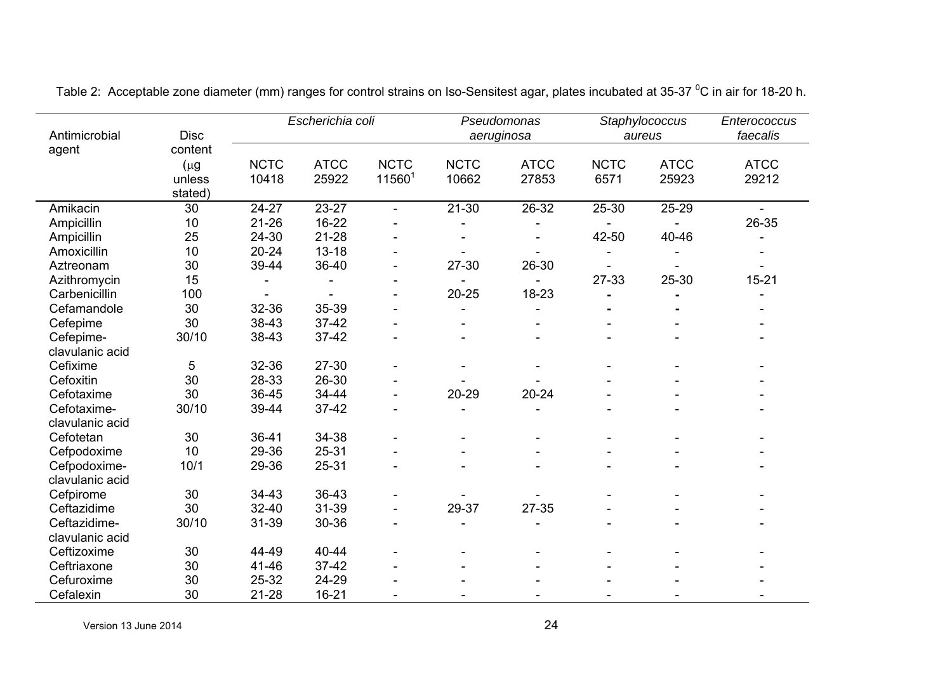|                 |             |             | Escherichia coli |                    |             | Pseudomonas |                | Staphylococcus | Enterococcus |
|-----------------|-------------|-------------|------------------|--------------------|-------------|-------------|----------------|----------------|--------------|
| Antimicrobial   | <b>Disc</b> |             |                  | aeruginosa         |             | aureus      |                | faecalis       |              |
| agent           | content     |             |                  |                    |             |             |                |                |              |
|                 | $(\mu g)$   | <b>NCTC</b> | <b>ATCC</b>      | <b>NCTC</b>        | <b>NCTC</b> | <b>ATCC</b> | <b>NCTC</b>    | <b>ATCC</b>    | <b>ATCC</b>  |
|                 | unless      | 10418       | 25922            | 11560 <sup>1</sup> | 10662       | 27853       | 6571           | 25923          | 29212        |
|                 | stated)     |             |                  |                    |             |             |                |                |              |
| Amikacin        | 30          | 24-27       | $23 - 27$        | $\sim$             | $21 - 30$   | $26 - 32$   | $25 - 30$      | 25-29          |              |
| Ampicillin      | 10          | $21 - 26$   | 16-22            |                    |             |             |                |                | 26-35        |
| Ampicillin      | 25          | 24-30       | $21 - 28$        |                    |             |             | 42-50          | 40-46          |              |
| Amoxicillin     | 10          | $20 - 24$   | $13 - 18$        |                    |             |             |                |                |              |
| Aztreonam       | 30          | 39-44       | 36-40            | $\blacksquare$     | 27-30       | 26-30       |                |                |              |
| Azithromycin    | 15          |             |                  |                    |             |             | 27-33          | 25-30          | $15 - 21$    |
| Carbenicillin   | 100         |             |                  |                    | $20 - 25$   | 18-23       |                |                |              |
| Cefamandole     | 30          | 32-36       | 35-39            |                    |             |             | $\blacksquare$ |                |              |
| Cefepime        | 30          | 38-43       | $37 - 42$        |                    |             |             |                |                |              |
| Cefepime-       | 30/10       | 38-43       | $37 - 42$        |                    |             |             |                |                |              |
| clavulanic acid |             |             |                  |                    |             |             |                |                |              |
| Cefixime        | 5           | 32-36       | 27-30            |                    |             |             |                |                |              |
| Cefoxitin       | 30          | 28-33       | 26-30            |                    |             |             |                |                |              |
| Cefotaxime      | 30          | 36-45       | 34-44            |                    | $20 - 29$   | $20 - 24$   |                |                |              |
| Cefotaxime-     | 30/10       | 39-44       | $37 - 42$        |                    |             |             |                |                |              |
| clavulanic acid |             |             |                  |                    |             |             |                |                |              |
| Cefotetan       | 30          | 36-41       | 34-38            |                    |             |             |                |                |              |
| Cefpodoxime     | 10          | 29-36       | $25 - 31$        |                    |             |             |                |                |              |
| Cefpodoxime-    | 10/1        | 29-36       | 25-31            |                    |             |             |                |                |              |
| clavulanic acid |             |             |                  |                    |             |             |                |                |              |
| Cefpirome       | 30          | $34 - 43$   | 36-43            |                    |             |             |                |                |              |
| Ceftazidime     | 30          | $32 - 40$   | 31-39            |                    | 29-37       | 27-35       |                |                |              |
| Ceftazidime-    | 30/10       | 31-39       | 30-36            |                    |             |             |                |                |              |
| clavulanic acid |             |             |                  |                    |             |             |                |                |              |
| Ceftizoxime     | 30          | 44-49       | 40-44            |                    |             |             |                |                |              |
| Ceftriaxone     | 30          | 41-46       | $37 - 42$        |                    |             |             |                |                |              |
| Cefuroxime      | 30          | 25-32       | 24-29            |                    |             |             |                |                |              |
| Cefalexin       | 30          | $21 - 28$   | $16 - 21$        |                    |             |             |                |                |              |

Table 2: Acceptable zone diameter (mm) ranges for control strains on Iso-Sensitest agar, plates incubated at 35-37 °C in air for 18-20 h.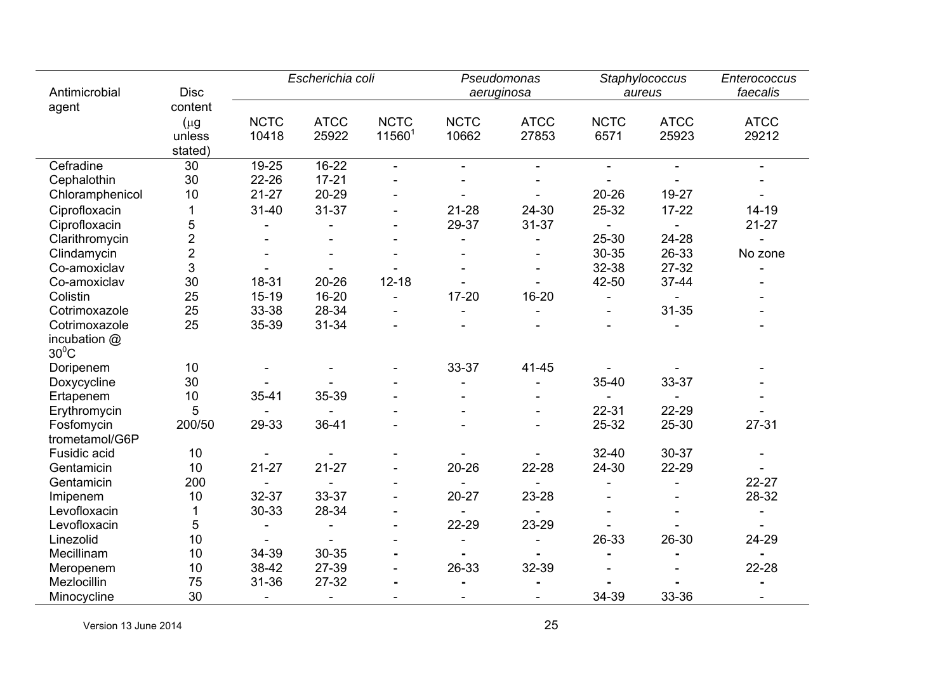| Antimicrobial                | Escherichia coli<br><b>Disc</b> |                          |                      | Pseudomonas<br>aeruginosa         |                      | Staphylococcus<br>aureus |                     | Enterococcus<br>faecalis |                          |
|------------------------------|---------------------------------|--------------------------|----------------------|-----------------------------------|----------------------|--------------------------|---------------------|--------------------------|--------------------------|
| agent                        | content                         |                          |                      |                                   |                      |                          |                     |                          |                          |
|                              | $(\mu g)$<br>unless<br>stated)  | <b>NCTC</b><br>10418     | <b>ATCC</b><br>25922 | <b>NCTC</b><br>11560 <sup>1</sup> | <b>NCTC</b><br>10662 | <b>ATCC</b><br>27853     | <b>NCTC</b><br>6571 | <b>ATCC</b><br>25923     | <b>ATCC</b><br>29212     |
| Cefradine                    | 30                              | 19-25                    | 16-22                | $\sim$                            | $\sim$               | L,                       | $\sim$              |                          |                          |
| Cephalothin                  | 30                              | 22-26                    | $17 - 21$            |                                   |                      |                          |                     |                          |                          |
| Chloramphenicol              | 10                              | $21 - 27$                | 20-29                |                                   |                      |                          | $20 - 26$           | 19-27                    |                          |
| Ciprofloxacin                | 1                               | $31 - 40$                | $31 - 37$            | $\blacksquare$                    | $21 - 28$            | 24-30                    | 25-32               | $17 - 22$                | $14 - 19$                |
| Ciprofloxacin                | 5                               |                          |                      | $\overline{a}$                    | 29-37                | $31 - 37$                |                     |                          | $21 - 27$                |
| Clarithromycin               | $\overline{2}$                  |                          |                      |                                   |                      |                          | 25-30               | 24-28                    |                          |
| Clindamycin                  | $\overline{2}$                  |                          |                      |                                   |                      |                          | 30-35               | 26-33                    | No zone                  |
| Co-amoxiclav                 | 3                               |                          |                      |                                   |                      |                          | 32-38               | 27-32                    |                          |
| Co-amoxiclav                 | 30                              | 18-31                    | $20 - 26$            | $12 - 18$                         |                      |                          | 42-50               | 37-44                    |                          |
| Colistin                     | 25                              | $15 - 19$                | 16-20                |                                   | $17 - 20$            | $16 - 20$                |                     |                          |                          |
| Cotrimoxazole                | 25                              | 33-38                    | 28-34                |                                   |                      |                          |                     | $31 - 35$                |                          |
| Cotrimoxazole                | 25                              | 35-39                    | $31 - 34$            |                                   |                      |                          |                     |                          |                          |
| incubation @<br>$30^0C$      |                                 |                          |                      |                                   |                      |                          |                     |                          |                          |
| Doripenem                    | 10                              |                          |                      |                                   | 33-37                | 41-45                    |                     |                          |                          |
| Doxycycline                  | 30                              |                          |                      |                                   |                      |                          | 35-40               | 33-37                    |                          |
| Ertapenem                    | 10                              | $35 - 41$                | 35-39                |                                   |                      |                          |                     |                          |                          |
| Erythromycin                 | 5                               |                          |                      |                                   |                      |                          | 22-31               | 22-29                    |                          |
| Fosfomycin<br>trometamol/G6P | 200/50                          | 29-33                    | $36 - 41$            |                                   |                      |                          | 25-32               | $25 - 30$                | $27 - 31$                |
| Fusidic acid                 | 10                              |                          |                      |                                   |                      |                          | $32 - 40$           | 30-37                    |                          |
| Gentamicin                   | 10                              | $21 - 27$                | $21 - 27$            |                                   | $20 - 26$            | 22-28                    | 24-30               | 22-29                    |                          |
| Gentamicin                   | 200                             |                          |                      |                                   |                      |                          |                     |                          | $22 - 27$                |
| Imipenem                     | 10                              | 32-37                    | 33-37                |                                   | $20 - 27$            | 23-28                    |                     |                          | 28-32                    |
| Levofloxacin                 | 1                               | 30-33                    | 28-34                |                                   |                      |                          |                     |                          |                          |
| Levofloxacin                 | 5                               |                          |                      |                                   | 22-29                | 23-29                    |                     |                          |                          |
| Linezolid                    | 10                              |                          |                      |                                   |                      |                          | 26-33               | 26-30                    | 24-29                    |
| Mecillinam                   | 10                              | 34-39                    | 30-35                |                                   |                      |                          |                     |                          |                          |
| Meropenem                    | 10                              | 38-42                    | 27-39                |                                   | 26-33                | 32-39                    |                     |                          | 22-28                    |
| Mezlocillin                  | 75                              | 31-36                    | 27-32                | $\blacksquare$                    |                      |                          |                     |                          |                          |
| Minocycline                  | 30                              | $\overline{\phantom{a}}$ | $\blacksquare$       |                                   | $\blacksquare$       | $\overline{a}$           | 34-39               | 33-36                    | $\overline{\phantom{a}}$ |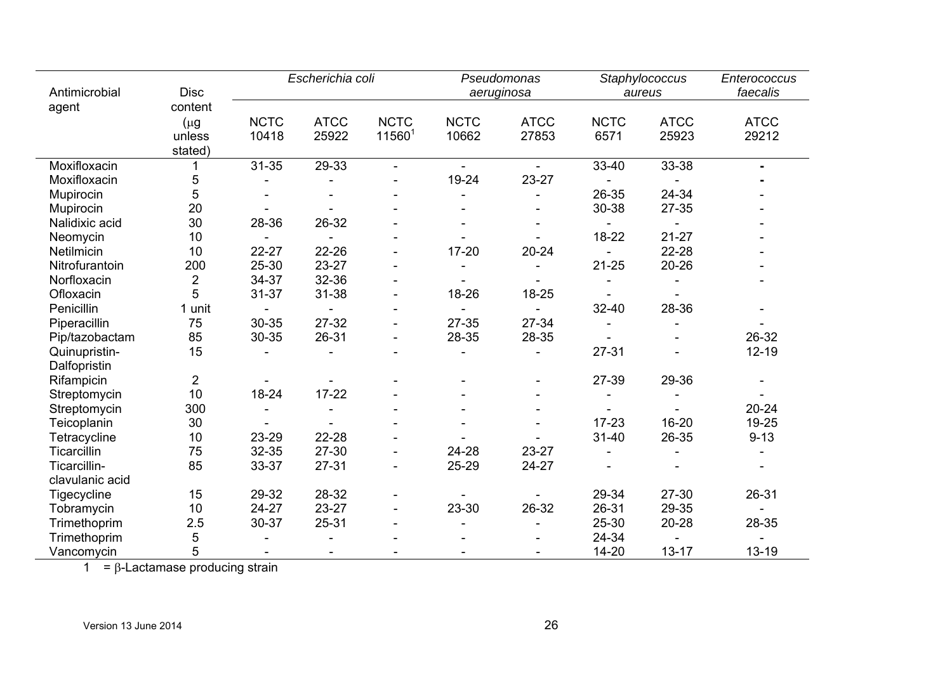| Antimicrobial                 | Escherichia coli<br><b>Disc</b>           |                              | Pseudomonas<br>aeruginosa |                                   | Staphylococcus<br>aureus |                      | Enterococcus<br>faecalis |                      |                      |
|-------------------------------|-------------------------------------------|------------------------------|---------------------------|-----------------------------------|--------------------------|----------------------|--------------------------|----------------------|----------------------|
| agent                         | content<br>$(\mu g)$<br>unless<br>stated) | <b>NCTC</b><br>10418         | <b>ATCC</b><br>25922      | <b>NCTC</b><br>11560 <sup>1</sup> | <b>NCTC</b><br>10662     | <b>ATCC</b><br>27853 | <b>NCTC</b><br>6571      | <b>ATCC</b><br>25923 | <b>ATCC</b><br>29212 |
| Moxifloxacin                  |                                           | $31 - 35$                    | 29-33                     | $\sim$                            | $\sim$                   | $\blacksquare$       | 33-40                    | 33-38                |                      |
| Moxifloxacin                  | 5                                         |                              |                           |                                   | 19-24                    | 23-27                |                          |                      |                      |
| Mupirocin                     | 5                                         |                              |                           |                                   |                          |                      | 26-35                    | 24-34                |                      |
| Mupirocin                     | 20                                        |                              |                           |                                   |                          | $\blacksquare$       | 30-38                    | $27 - 35$            |                      |
| Nalidixic acid                | 30                                        | 28-36                        | 26-32                     |                                   |                          |                      |                          |                      |                      |
| Neomycin                      | 10                                        |                              |                           |                                   |                          |                      | 18-22                    | $21 - 27$            |                      |
| Netilmicin                    | 10                                        | $22 - 27$                    | 22-26                     | $\blacksquare$                    | $17 - 20$                | $20 - 24$            |                          | 22-28                |                      |
| Nitrofurantoin                | 200                                       | 25-30                        | 23-27                     |                                   |                          |                      | $21 - 25$                | $20 - 26$            |                      |
| Norfloxacin                   | $\overline{2}$                            | 34-37                        | 32-36                     |                                   |                          |                      |                          |                      |                      |
| Ofloxacin                     | 5                                         | $31 - 37$                    | $31 - 38$                 | $\blacksquare$                    | 18-26                    | 18-25                |                          |                      |                      |
| Penicillin                    | 1 unit                                    |                              |                           |                                   |                          |                      | 32-40                    | 28-36                |                      |
| Piperacillin                  | 75                                        | 30-35                        | 27-32                     |                                   | 27-35                    | 27-34                |                          |                      |                      |
| Pip/tazobactam                | 85                                        | 30-35                        | 26-31                     |                                   | 28-35                    | 28-35                |                          |                      | 26-32                |
| Quinupristin-<br>Dalfopristin | 15                                        |                              |                           |                                   |                          |                      | $27 - 31$                |                      | $12 - 19$            |
| Rifampicin                    | $\overline{2}$                            |                              |                           |                                   |                          |                      | 27-39                    | 29-36                |                      |
| Streptomycin                  | 10                                        | 18-24                        | $17 - 22$                 |                                   |                          |                      |                          |                      |                      |
| Streptomycin                  | 300                                       |                              |                           |                                   |                          |                      |                          |                      | $20 - 24$            |
| Teicoplanin                   | 30                                        |                              |                           |                                   |                          |                      | $17 - 23$                | 16-20                | 19-25                |
| Tetracycline                  | 10                                        | 23-29                        | 22-28                     |                                   |                          |                      | $31 - 40$                | 26-35                | $9 - 13$             |
| Ticarcillin                   | 75                                        | 32-35                        | 27-30                     |                                   | 24-28                    | 23-27                |                          |                      |                      |
| Ticarcillin-                  | 85                                        | 33-37                        | $27 - 31$                 |                                   | 25-29                    | 24-27                |                          |                      |                      |
| clavulanic acid               |                                           |                              |                           |                                   |                          |                      |                          |                      |                      |
| Tigecycline                   | 15                                        | 29-32                        | 28-32                     |                                   |                          |                      | 29-34                    | 27-30                | 26-31                |
| Tobramycin                    | 10                                        | 24-27                        | 23-27                     |                                   | 23-30                    | 26-32                | 26-31                    | 29-35                |                      |
| Trimethoprim                  | 2.5                                       | 30-37                        | $25 - 31$                 |                                   |                          |                      | 25-30                    | 20-28                | 28-35                |
| Trimethoprim                  | 5                                         |                              |                           |                                   |                          |                      | 24-34                    |                      |                      |
| Vancomycin                    | 5                                         | $\qquad \qquad \blacksquare$ | $\blacksquare$            |                                   |                          |                      | 14-20                    | $13 - 17$            | $13 - 19$            |

1 = β-Lactamase producing strain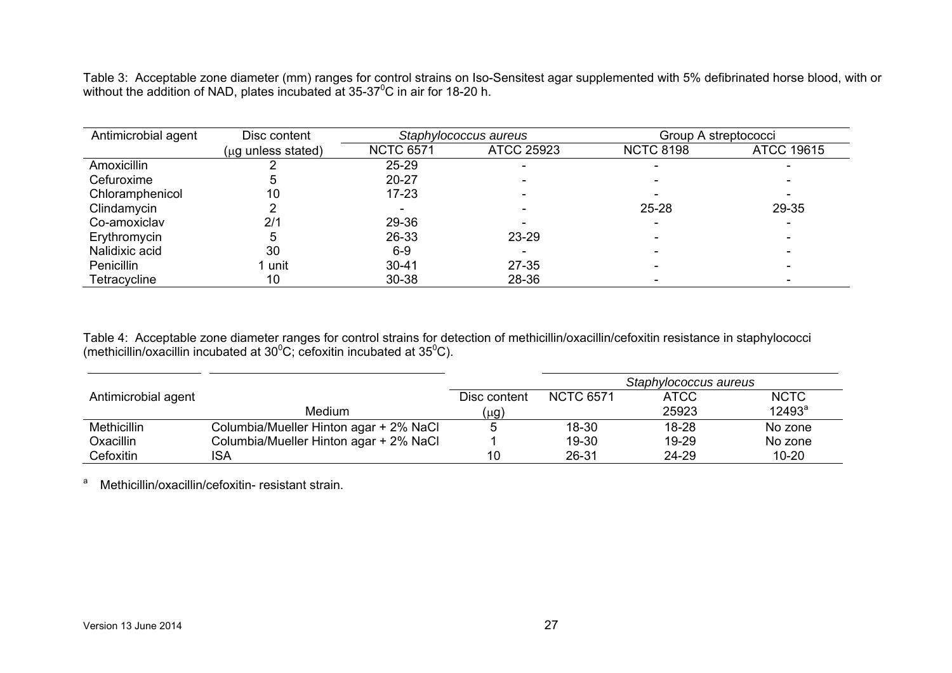Table 3: Acceptable zone diameter (mm) ranges for control strains on Iso-Sensitest agar supplemented with 5% defibrinated horse blood, with or without the addition of NAD, plates incubated at 35-37<sup>0</sup>C in air for 18-20 h.

| Antimicrobial agent | Disc content                    |                  | Staphylococcus aureus | Group A streptococci |                   |
|---------------------|---------------------------------|------------------|-----------------------|----------------------|-------------------|
|                     | $(\mu q \text{ unless stated})$ | <b>NCTC 6571</b> | <b>ATCC 25923</b>     | <b>NCTC 8198</b>     | <b>ATCC 19615</b> |
| Amoxicillin         |                                 | 25-29            |                       |                      |                   |
| Cefuroxime          | э                               | $20 - 27$        |                       |                      |                   |
| Chloramphenicol     | 10                              | $17 - 23$        |                       |                      |                   |
| Clindamycin         |                                 |                  |                       | $25 - 28$            | 29-35             |
| Co-amoxiclav        | 2/1                             | 29-36            |                       |                      |                   |
| Erythromycin        | 5                               | 26-33            | 23-29                 |                      |                   |
| Nalidixic acid      | 30                              | $6-9$            |                       |                      |                   |
| Penicillin          | 1 unit                          | $30 - 41$        | $27 - 35$             |                      |                   |
| Tetracycline        | 10                              | 30-38            | 28-36                 |                      |                   |

Table 4: Acceptable zone diameter ranges for control strains for detection of methicillin/oxacillin/cefoxitin resistance in staphylococci (methicillin/oxacillin incubated at 30 $\rm ^{0}C;$  cefoxitin incubated at 35 $\rm ^{0}C$ ).

|                     |                                        |              |                  | Staphylococcus aureus |             |
|---------------------|----------------------------------------|--------------|------------------|-----------------------|-------------|
| Antimicrobial agent |                                        | Disc content | <b>NCTC 6571</b> | ATCC                  | <b>NCTC</b> |
|                     | <b>Medium</b>                          | (µg)         |                  | 25923                 | $12493^a$   |
| <b>Methicillin</b>  | Columbia/Mueller Hinton agar + 2% NaCl |              | 18-30            | 18-28                 | No zone     |
| Oxacillin           | Columbia/Mueller Hinton agar + 2% NaCl |              | 19-30            | 19-29                 | No zone     |
| Cefoxitin           | ISA                                    | 10           | 26-31            | 24-29                 | $10 - 20$   |

a Methicillin/oxacillin/cefoxitin-resistant strain.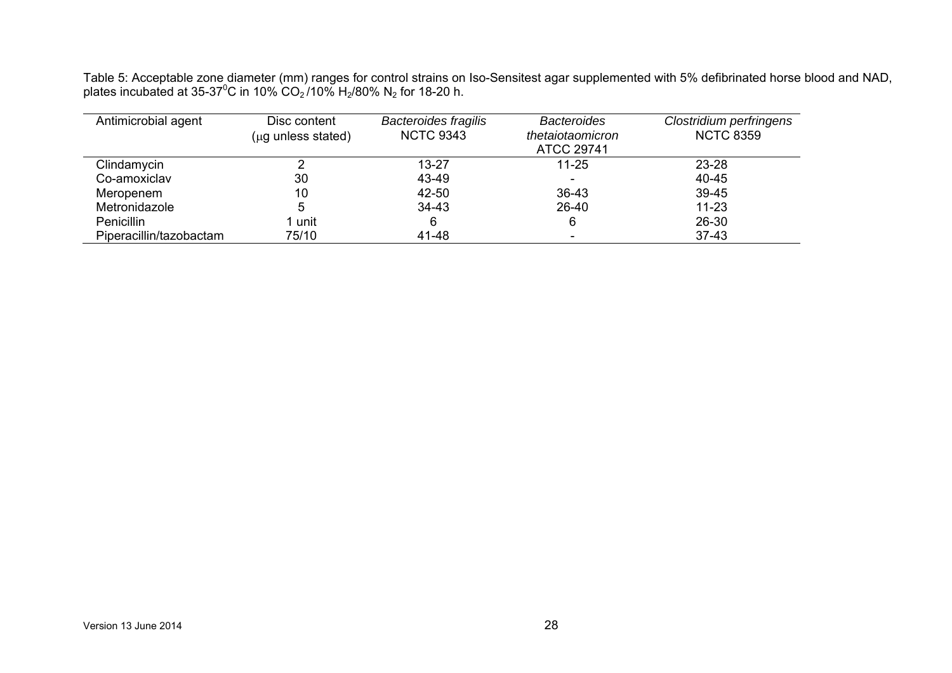Table 5: Acceptable zone diameter (mm) ranges for control strains on Iso-Sensitest agar supplemented with 5% defibrinated horse blood and NAD, plates incubated at 35-37<sup>0</sup>C in 10% CO<sub>2</sub>/10% H<sub>2</sub>/80% N<sub>2</sub> for 18-20 h.

| Antimicrobial agent     | Disc content<br>$(\mu g \text{ unless stated})$ | <b>Bacteroides fragilis</b><br><b>NCTC 9343</b> | <b>Bacteroides</b><br>thetaiotaomicron<br><b>ATCC 29741</b> | Clostridium perfringens<br><b>NCTC 8359</b> |
|-------------------------|-------------------------------------------------|-------------------------------------------------|-------------------------------------------------------------|---------------------------------------------|
| Clindamycin             |                                                 | 13-27                                           | $11 - 25$                                                   | 23-28                                       |
| Co-amoxiclav            | 30                                              | 43-49                                           |                                                             | 40-45                                       |
| Meropenem               | 10                                              | 42-50                                           | 36-43                                                       | 39-45                                       |
| Metronidazole           | 5                                               | $34 - 43$                                       | 26-40                                                       | $11 - 23$                                   |
| <b>Penicillin</b>       | 1 unit                                          | 6                                               | 6                                                           | 26-30                                       |
| Piperacillin/tazobactam | 75/10                                           | 41-48                                           | $\overline{\phantom{0}}$                                    | $37 - 43$                                   |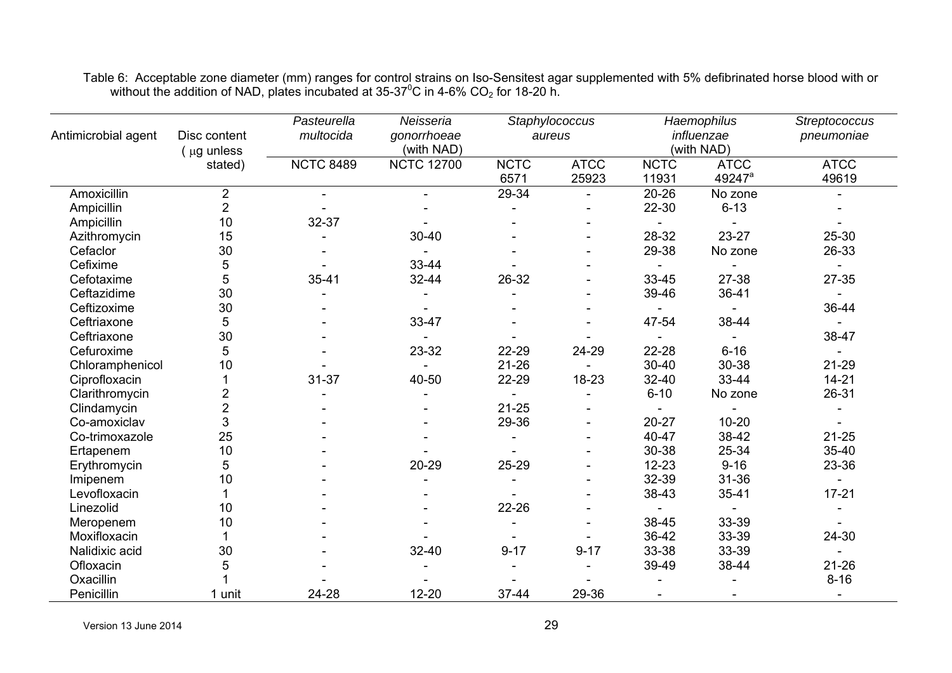|                     |                             | Pasteurella      | Neisseria         |             | Staphylococcus |             | Haemophilus        | <b>Streptococcus</b> |
|---------------------|-----------------------------|------------------|-------------------|-------------|----------------|-------------|--------------------|----------------------|
| Antimicrobial agent | Disc content                | multocida        | gonorrhoeae       |             | aureus         |             | influenzae         | pneumoniae           |
|                     | $( \mu g \text{ unless } )$ |                  | (with NAD)        |             |                |             | (with NAD)         |                      |
|                     | stated)                     | <b>NCTC 8489</b> | <b>NCTC 12700</b> | <b>NCTC</b> | <b>ATCC</b>    | <b>NCTC</b> | <b>ATCC</b>        | <b>ATCC</b>          |
|                     |                             |                  |                   | 6571        | 25923          | 11931       | 49247 <sup>a</sup> | 49619                |
| Amoxicillin         | $\overline{2}$              |                  | $\blacksquare$    | 29-34       |                | $20 - 26$   | No zone            |                      |
| Ampicillin          | $\overline{2}$              |                  |                   |             |                | 22-30       | $6 - 13$           |                      |
| Ampicillin          | 10                          | 32-37            |                   |             |                |             |                    |                      |
| Azithromycin        | 15                          |                  | 30-40             |             |                | 28-32       | 23-27              | 25-30                |
| Cefaclor            | 30                          |                  |                   |             |                | 29-38       | No zone            | 26-33                |
| Cefixime            | 5                           |                  | 33-44             |             |                |             |                    |                      |
| Cefotaxime          | 5                           | $35 - 41$        | 32-44             | 26-32       |                | 33-45       | 27-38              | 27-35                |
| Ceftazidime         | 30                          |                  |                   |             |                | 39-46       | 36-41              |                      |
| Ceftizoxime         | 30                          |                  |                   |             |                |             |                    | 36-44                |
| Ceftriaxone         | 5                           |                  | 33-47             |             |                | 47-54       | 38-44              |                      |
| Ceftriaxone         | 30                          |                  |                   |             |                |             |                    | 38-47                |
| Cefuroxime          | 5                           |                  | 23-32             | 22-29       | 24-29          | 22-28       | $6 - 16$           |                      |
| Chloramphenicol     | 10                          |                  |                   | $21 - 26$   |                | $30 - 40$   | 30-38              | $21 - 29$            |
| Ciprofloxacin       |                             | $31 - 37$        | 40-50             | 22-29       | 18-23          | 32-40       | 33-44              | $14 - 21$            |
| Clarithromycin      | 2                           |                  |                   |             |                | $6 - 10$    | No zone            | 26-31                |
| Clindamycin         | $\overline{2}$              |                  |                   | $21 - 25$   |                |             |                    |                      |
| Co-amoxiclav        | 3                           |                  |                   | 29-36       |                | $20 - 27$   | $10 - 20$          |                      |
| Co-trimoxazole      | 25                          |                  |                   |             |                | 40-47       | 38-42              | $21 - 25$            |
| Ertapenem           | 10                          |                  |                   |             |                | 30-38       | 25-34              | 35-40                |
| Erythromycin        | 5                           |                  | 20-29             | 25-29       |                | $12 - 23$   | $9 - 16$           | 23-36                |
| Imipenem            | 10                          |                  |                   |             |                | 32-39       | 31-36              |                      |
| Levofloxacin        | 1                           |                  |                   |             |                | 38-43       | $35 - 41$          | $17 - 21$            |
| Linezolid           | 10                          |                  |                   | 22-26       |                |             |                    |                      |
| Meropenem           | 10                          |                  |                   |             |                | 38-45       | 33-39              |                      |
| Moxifloxacin        |                             |                  |                   |             |                | 36-42       | 33-39              | 24-30                |
| Nalidixic acid      | 30                          |                  | 32-40             | $9 - 17$    | $9 - 17$       | 33-38       | 33-39              |                      |
| Ofloxacin           | 5                           |                  |                   |             |                | 39-49       | 38-44              | $21 - 26$            |
| Oxacillin           |                             |                  |                   |             |                |             |                    | $8 - 16$             |
| Penicillin          | 1 unit                      | 24-28            | $12 - 20$         | 37-44       | 29-36          |             |                    |                      |

Table 6: Acceptable zone diameter (mm) ranges for control strains on Iso-Sensitest agar supplemented with 5% defibrinated horse blood with or without the addition of NAD, plates incubated at 35-37<sup>o</sup>C in 4-6% CO<sub>2</sub> for 18-20 h.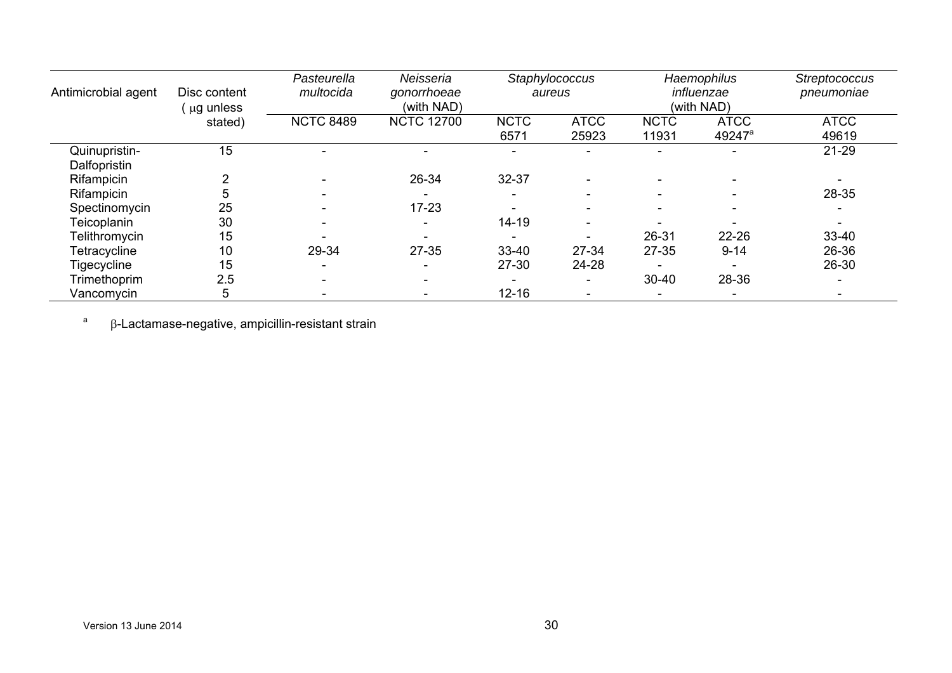| Antimicrobial agent           | Disc content<br>$'$ $\mu$ g unless | Pasteurella<br>multocida | Neisseria<br>gonorrhoeae<br>(with NAD) |                          | Staphylococcus<br>aureus |                      | Haemophilus<br>influenzae<br>(with NAD) | <b>Streptococcus</b><br>pneumoniae |
|-------------------------------|------------------------------------|--------------------------|----------------------------------------|--------------------------|--------------------------|----------------------|-----------------------------------------|------------------------------------|
|                               | stated)                            | <b>NCTC 8489</b>         | <b>NCTC 12700</b>                      | <b>NCTC</b><br>6571      | <b>ATCC</b><br>25923     | <b>NCTC</b><br>11931 | <b>ATCC</b><br>49247 <sup>a</sup>       | <b>ATCC</b><br>49619               |
| Quinupristin-<br>Dalfopristin | 15                                 | $\overline{\phantom{a}}$ |                                        |                          |                          |                      | $\sim$                                  | $21 - 29$                          |
| Rifampicin                    |                                    |                          | 26-34                                  | 32-37                    |                          |                      |                                         |                                    |
| Rifampicin                    |                                    | $\overline{\phantom{0}}$ |                                        | $\overline{\phantom{0}}$ | $\overline{\phantom{0}}$ |                      | $\overline{\phantom{a}}$                | 28-35                              |
| Spectinomycin                 | 25                                 | $\sim$                   | $17 - 23$                              |                          |                          |                      |                                         |                                    |
| Teicoplanin                   | 30                                 | $\overline{\phantom{a}}$ |                                        | $14 - 19$                |                          |                      |                                         |                                    |
| Telithromycin                 | 15                                 |                          |                                        |                          |                          | 26-31                | 22-26                                   | 33-40                              |
| Tetracycline                  | 10                                 | 29-34                    | $27 - 35$                              | 33-40                    | 27-34                    | $27 - 35$            | $9 - 14$                                | 26-36                              |
| Tigecycline                   | 15                                 | $\sim$                   |                                        | 27-30                    | 24-28                    |                      |                                         | 26-30                              |
| Trimethoprim                  | 2.5                                | ۰.                       |                                        | $\overline{\phantom{0}}$ | ۰                        | $30 - 40$            | 28-36                                   |                                    |
| Vancomycin                    | 5                                  | ٠                        |                                        | $12 - 16$                |                          |                      |                                         |                                    |

 $a$   $\beta$ -Lactamase-negative, ampicillin-resistant strain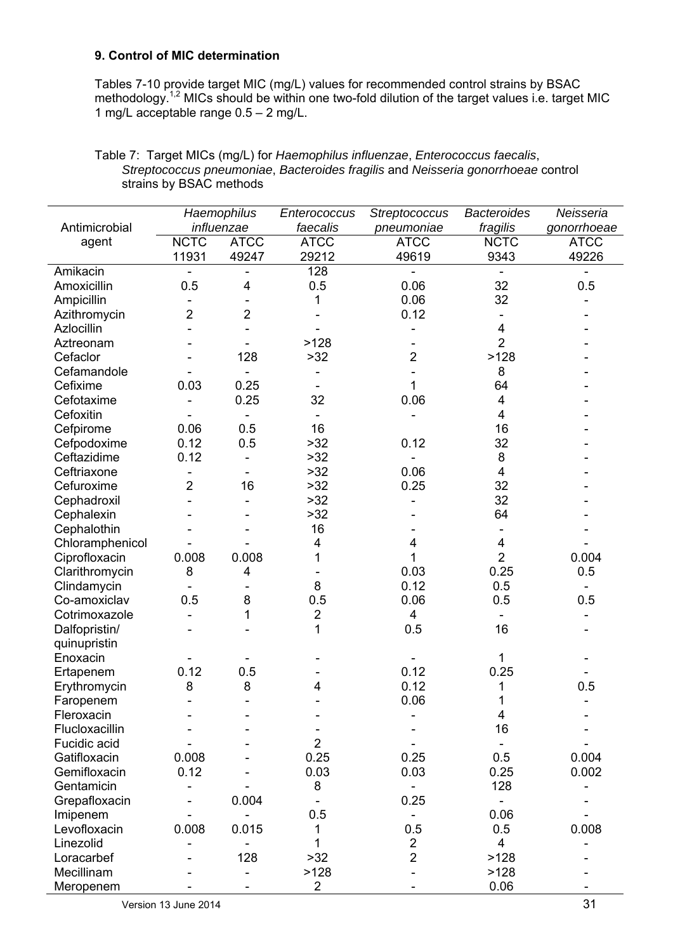### **9. Control of MIC determination**

Tables 7-10 provide target MIC (mg/L) values for recommended control strains by BSAC methodology.<sup>1,2</sup> MICs should be within one two-fold dilution of the target values i.e. target MIC 1 mg/L acceptable range 0.5 – 2 mg/L.

|                              |                         | Haemophilus    | Enterococcus   | <b>Streptococcus</b> | <b>Bacteroides</b> | Neisseria   |
|------------------------------|-------------------------|----------------|----------------|----------------------|--------------------|-------------|
| Antimicrobial                |                         | influenzae     | faecalis       | pneumoniae           | fragilis           | gonorrhoeae |
| agent                        | <b>NCTC</b>             | <b>ATCC</b>    | <b>ATCC</b>    | <b>ATCC</b>          | <b>NCTC</b>        | <b>ATCC</b> |
|                              | 11931                   | 49247          | 29212          | 49619                | 9343               | 49226       |
| Amikacin                     |                         |                | 128            |                      |                    |             |
| Amoxicillin                  | 0.5                     | 4              | 0.5            | 0.06                 | 32                 | 0.5         |
| Ampicillin                   |                         |                | 1              | 0.06                 | 32                 |             |
| Azithromycin                 | $\overline{\mathbf{c}}$ | $\overline{2}$ |                | 0.12                 |                    |             |
| Azlocillin                   |                         |                |                |                      | 4                  |             |
| Aztreonam                    |                         |                | >128           |                      | $\overline{2}$     |             |
| Cefaclor                     |                         | 128            | >32            | $\overline{2}$       | >128               |             |
| Cefamandole                  |                         |                |                |                      | 8                  |             |
| Cefixime                     | 0.03                    | 0.25           |                | 1                    | 64                 |             |
| Cefotaxime                   |                         | 0.25           | 32             | 0.06                 | 4                  |             |
| Cefoxitin                    |                         |                |                |                      | 4                  |             |
| Cefpirome                    | 0.06                    | 0.5            | 16             |                      | 16                 |             |
| Cefpodoxime                  | 0.12                    | 0.5            | $>32$          | 0.12                 | 32                 |             |
| Ceftazidime                  | 0.12                    |                | $>32$          |                      | 8                  |             |
| Ceftriaxone                  |                         |                | >32            | 0.06                 | 4                  |             |
| Cefuroxime                   | $\overline{2}$          | 16             | >32            | 0.25                 | 32                 |             |
| Cephadroxil                  |                         |                | >32            |                      | 32                 |             |
| Cephalexin                   |                         |                | >32            |                      | 64                 |             |
| Cephalothin                  |                         |                | 16             |                      |                    |             |
| Chloramphenicol              |                         |                | 4              | 4                    | 4                  |             |
| Ciprofloxacin                | 0.008                   | 0.008          |                |                      | $\overline{2}$     | 0.004       |
| Clarithromycin               | 8                       | 4              |                | 0.03                 | 0.25               | 0.5         |
| Clindamycin                  |                         |                | 8              | 0.12                 | 0.5                |             |
| Co-amoxiclav                 | 0.5                     | 8              | 0.5            | 0.06                 | 0.5                | 0.5         |
| Cotrimoxazole                | $\blacksquare$          | 1              | $\overline{2}$ | 4                    |                    |             |
| Dalfopristin/                |                         |                | 1              | 0.5                  | 16                 |             |
| quinupristin                 |                         |                |                |                      |                    |             |
| Enoxacin                     |                         |                |                |                      | 1                  |             |
|                              | 0.12                    | 0.5            |                | 0.12                 | 0.25               |             |
| Ertapenem<br>Erythromycin    | 8                       | 8              | 4              | 0.12                 | 1                  | 0.5         |
|                              |                         |                |                | 0.06                 | 1                  |             |
| Faropenem                    |                         |                |                |                      |                    |             |
| Fleroxacin<br>Flucloxacillin |                         |                |                |                      | 4<br>16            |             |
| Fucidic acid                 |                         |                | $\overline{2}$ |                      |                    |             |
| Gatifloxacin                 | 0.008                   |                | 0.25           | 0.25                 | 0.5                | 0.004       |
| Gemifloxacin                 | 0.12                    |                | 0.03           | 0.03                 |                    | 0.002       |
|                              |                         |                |                |                      | 0.25               |             |
| Gentamicin                   |                         | 0.004          | 8              |                      | 128                |             |
| Grepafloxacin                |                         |                |                | 0.25                 |                    |             |
| Imipenem                     |                         |                | 0.5            |                      | 0.06               |             |
| Levofloxacin                 | 0.008                   | 0.015          | 1              | 0.5                  | 0.5                | 0.008       |
| Linezolid                    |                         |                | 1              | $\overline{2}$       | 4                  |             |
| Loracarbef                   |                         | 128            | >32            | $\overline{2}$       | >128               |             |
| Mecillinam                   |                         |                | >128           |                      | >128               |             |
| Meropenem                    |                         |                | $\overline{2}$ |                      | 0.06               |             |

### Table 7: Target MICs (mg/L) for *Haemophilus influenzae*, *Enterococcus faecalis*, *Streptococcus pneumoniae*, *Bacteroides fragilis* and *Neisseria gonorrhoeae* control strains by BSAC methods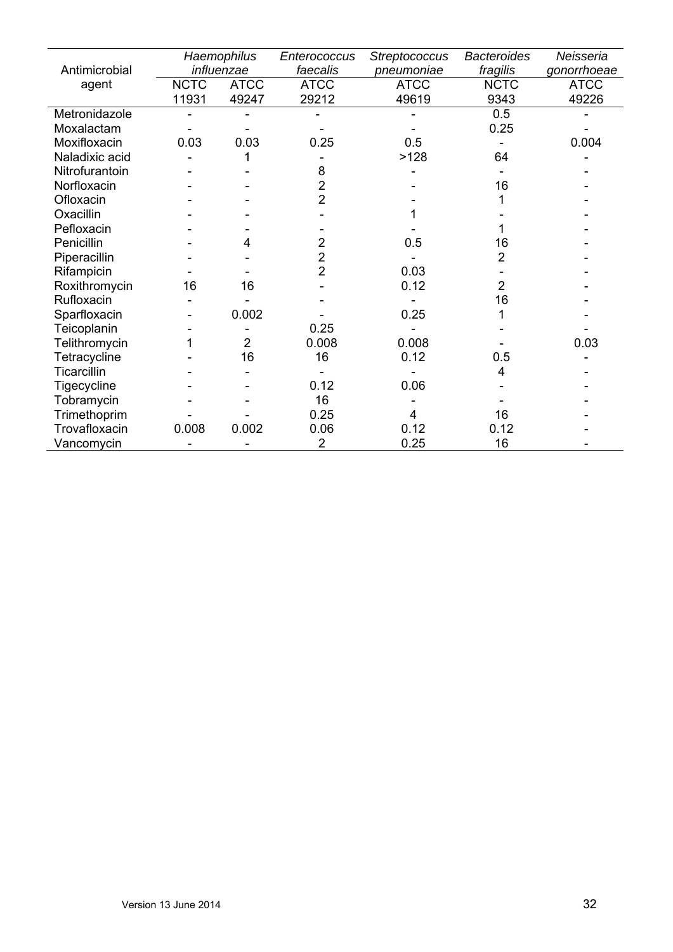|                |             | Haemophilus    | Enterococcus   | <b>Streptococcus</b> | <b>Bacteroides</b> | Neisseria   |
|----------------|-------------|----------------|----------------|----------------------|--------------------|-------------|
| Antimicrobial  |             | influenzae     | faecalis       | pneumoniae           | fragilis           | gonorrhoeae |
| agent          | <b>NCTC</b> | <b>ATCC</b>    | <b>ATCC</b>    | <b>ATCC</b>          | <b>NCTC</b>        | <b>ATCC</b> |
|                | 11931       | 49247          | 29212          | 49619                | 9343               | 49226       |
| Metronidazole  |             |                |                |                      | 0.5                |             |
| Moxalactam     |             |                |                |                      | 0.25               |             |
| Moxifloxacin   | 0.03        | 0.03           | 0.25           | 0.5                  |                    | 0.004       |
| Naladixic acid |             |                |                | >128                 | 64                 |             |
| Nitrofurantoin |             |                | 8              |                      |                    |             |
| Norfloxacin    |             |                | $\overline{c}$ |                      | 16                 |             |
| Ofloxacin      |             |                | $\overline{2}$ |                      |                    |             |
| Oxacillin      |             |                |                |                      |                    |             |
| Pefloxacin     |             |                |                |                      |                    |             |
| Penicillin     |             | 4              | $\overline{2}$ | 0.5                  | 16                 |             |
| Piperacillin   |             |                | $\overline{2}$ |                      | 2                  |             |
| Rifampicin     |             |                | $\overline{2}$ | 0.03                 |                    |             |
| Roxithromycin  | 16          | 16             |                | 0.12                 | $\overline{2}$     |             |
| Rufloxacin     |             |                |                |                      | 16                 |             |
| Sparfloxacin   |             | 0.002          |                | 0.25                 |                    |             |
| Teicoplanin    |             |                | 0.25           |                      |                    |             |
| Telithromycin  |             | $\overline{2}$ | 0.008          | 0.008                |                    | 0.03        |
| Tetracycline   |             | 16             | 16             | 0.12                 | 0.5                |             |
| Ticarcillin    |             |                |                |                      | 4                  |             |
| Tigecycline    |             |                | 0.12           | 0.06                 |                    |             |
| Tobramycin     |             |                | 16             |                      |                    |             |
| Trimethoprim   |             |                | 0.25           | 4                    | 16                 |             |
| Trovafloxacin  | 0.008       | 0.002          | 0.06           | 0.12                 | 0.12               |             |
| Vancomycin     |             |                | $\overline{2}$ | 0.25                 | 16                 |             |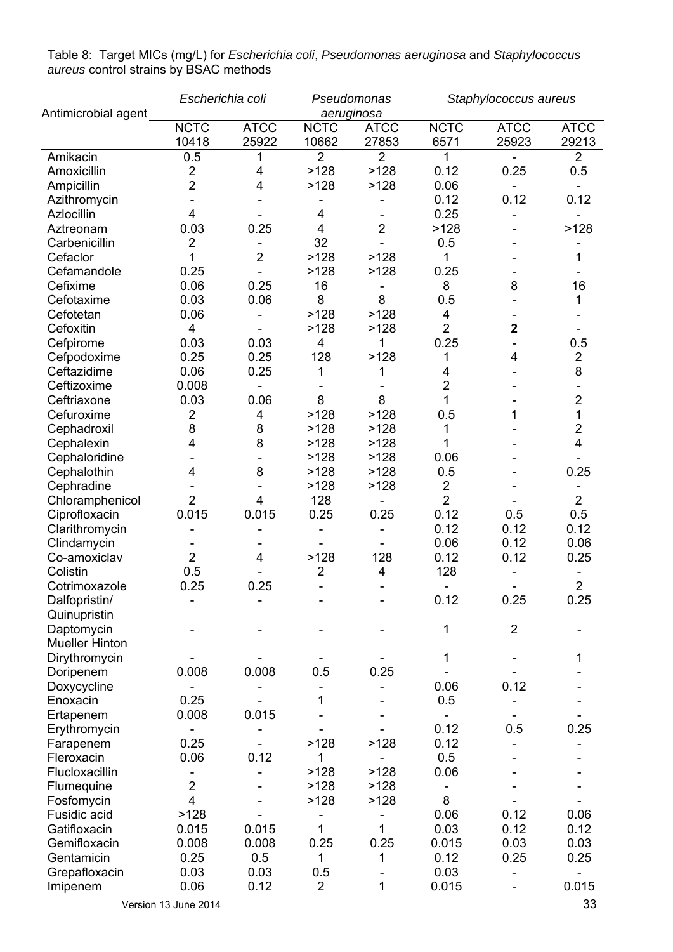|                       | Escherichia coli        |                |                         | Pseudomonas             |                | Staphylococcus aureus    |                |
|-----------------------|-------------------------|----------------|-------------------------|-------------------------|----------------|--------------------------|----------------|
| Antimicrobial agent   |                         |                |                         | aeruginosa              |                |                          |                |
|                       | <b>NCTC</b>             | <b>ATCC</b>    | <b>NCTC</b>             | <b>ATCC</b>             | NCTC           | <b>ATCC</b>              | <b>ATCC</b>    |
|                       | 10418                   | 25922          | 10662                   | 27853                   | 6571           | 25923                    | 29213          |
| Amikacin              | 0.5                     |                | $\overline{2}$          | $\overline{2}$          | 1              |                          | $\overline{2}$ |
| Amoxicillin           | $\overline{2}$          | 4              | >128                    | >128                    | 0.12           | 0.25                     | 0.5            |
| Ampicillin            | $\overline{2}$          | 4              | >128                    | >128                    | 0.06           | $\overline{\phantom{a}}$ |                |
| Azithromycin          |                         |                |                         |                         | 0.12           | 0.12                     | 0.12           |
| Azlocillin            | 4                       |                | 4                       |                         | 0.25           |                          |                |
| Aztreonam             | 0.03                    | 0.25           | $\overline{\mathbf{4}}$ | $\overline{2}$          | >128           |                          | >128           |
| Carbenicillin         | $\overline{2}$          |                | 32                      |                         | 0.5            |                          |                |
| Cefaclor              | 1                       | $\overline{2}$ | >128                    | >128                    | 1              |                          | 1              |
| Cefamandole           | 0.25                    |                | >128                    | >128                    | 0.25           |                          |                |
| Cefixime              | 0.06                    | 0.25           | 16                      |                         | 8              | 8                        | 16             |
| Cefotaxime            | 0.03                    | 0.06           | 8                       | 8                       | 0.5            |                          | 1              |
| Cefotetan             | 0.06                    |                | >128                    | >128                    | 4              |                          |                |
| Cefoxitin             | $\overline{4}$          |                | >128                    | >128                    | $\overline{2}$ | $\overline{2}$           |                |
| Cefpirome             | 0.03                    | 0.03           | 4                       | 1                       | 0.25           |                          | 0.5            |
| Cefpodoxime           | 0.25                    | 0.25           | 128                     | >128                    | 1              | 4                        | $\overline{2}$ |
| Ceftazidime           | 0.06                    | 0.25           | 1                       |                         | 4              |                          | 8              |
| Ceftizoxime           | 0.008                   |                |                         |                         | $\overline{2}$ |                          |                |
| Ceftriaxone           | 0.03                    | 0.06           | 8                       | 8                       | 1              |                          | $\overline{2}$ |
| Cefuroxime            | 2                       | 4              | >128                    | >128                    | 0.5            | 1                        | 1              |
|                       | 8                       | 8              | >128                    | >128                    | 1              |                          | $\overline{2}$ |
| Cephadroxil           |                         | 8              |                         |                         | 1              |                          | 4              |
| Cephalexin            | 4                       |                | >128                    | >128                    | 0.06           |                          |                |
| Cephaloridine         |                         |                | >128                    | >128                    |                |                          |                |
| Cephalothin           | 4                       | 8              | >128                    | >128                    | 0.5            |                          | 0.25           |
| Cephradine            |                         |                | >128                    | >128                    | $\overline{2}$ |                          |                |
| Chloramphenicol       | $\overline{2}$          | 4              | 128                     |                         | $\overline{2}$ |                          | $\overline{2}$ |
| Ciprofloxacin         | 0.015                   | 0.015          | 0.25                    | 0.25                    | 0.12           | 0.5                      | 0.5            |
| Clarithromycin        |                         |                |                         |                         | 0.12           | 0.12                     | 0.12           |
| Clindamycin           |                         |                |                         |                         | 0.06           | 0.12                     | 0.06           |
| Co-amoxiclav          | $\overline{2}$          | 4              | >128                    | 128                     | 0.12           | 0.12                     | 0.25           |
| Colistin              | 0.5                     |                | $\overline{2}$          | $\overline{\mathbf{4}}$ | 128            |                          |                |
| Cotrimoxazole         | 0.25                    | 0.25           |                         |                         |                |                          | $\overline{2}$ |
| Dalfopristin/         |                         |                |                         |                         | 0.12           | 0.25                     | 0.25           |
| Quinupristin          |                         |                |                         |                         |                |                          |                |
| Daptomycin            |                         |                |                         |                         | 1              | $\overline{2}$           |                |
| <b>Mueller Hinton</b> |                         |                |                         |                         |                |                          |                |
| Dirythromycin         |                         |                |                         |                         | 1              |                          | 1              |
| Doripenem             | 0.008                   | 0.008          | 0.5                     | 0.25                    |                |                          |                |
| Doxycycline           |                         |                |                         |                         | 0.06           | 0.12                     |                |
| Enoxacin              | 0.25                    |                | 1                       |                         | 0.5            |                          |                |
| Ertapenem             | 0.008                   | 0.015          |                         |                         |                |                          |                |
| Erythromycin          |                         |                |                         |                         | 0.12           | 0.5                      | 0.25           |
| Farapenem             | 0.25                    |                | >128                    | >128                    | 0.12           |                          |                |
| Fleroxacin            | 0.06                    | 0.12           | 1                       |                         | 0.5            |                          |                |
| Flucloxacillin        |                         |                | >128                    | >128                    | 0.06           |                          |                |
| Flumequine            | $\overline{2}$          |                | >128                    | >128                    |                |                          |                |
| Fosfomycin            | $\overline{\mathbf{4}}$ |                | >128                    | >128                    | 8              |                          |                |
| Fusidic acid          | >128                    |                |                         |                         | 0.06           | 0.12                     | 0.06           |
| Gatifloxacin          | 0.015                   | 0.015          | 1                       | 1                       | 0.03           | 0.12                     | 0.12           |
| Gemifloxacin          | 0.008                   | 0.008          | 0.25                    | 0.25                    | 0.015          | 0.03                     | 0.03           |
|                       |                         |                |                         |                         |                |                          |                |
| Gentamicin            | 0.25                    | 0.5            | 1                       | 1                       | 0.12           | 0.25                     | 0.25           |
| Grepafloxacin         | 0.03                    | 0.03           | 0.5                     |                         | 0.03           |                          |                |
| Imipenem              | 0.06                    | 0.12           | $\overline{2}$          | 1                       | 0.015          |                          | 0.015          |
|                       | Version 13 June 2014    |                |                         |                         |                |                          | 33             |

Table 8: Target MICs (mg/L) for *Escherichia coli*, *Pseudomonas aeruginosa* and *Staphylococcus aureus* control strains by BSAC methods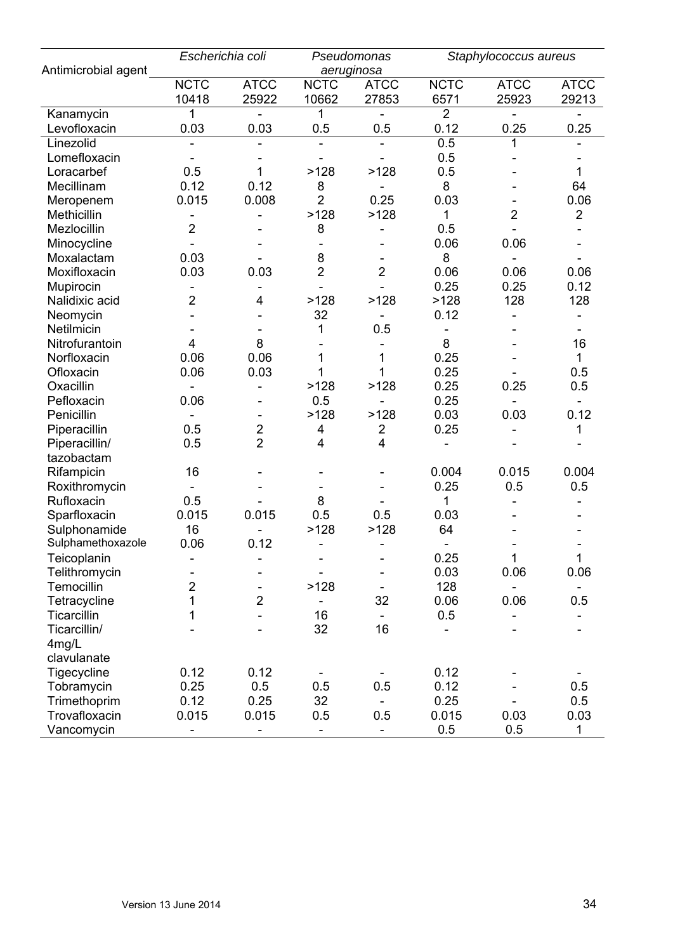|                     | Escherichia coli |                |                          | Pseudomonas              |                | Staphylococcus aureus    |                |
|---------------------|------------------|----------------|--------------------------|--------------------------|----------------|--------------------------|----------------|
| Antimicrobial agent |                  |                |                          | aeruginosa               |                |                          |                |
|                     | <b>NCTC</b>      | <b>ATCC</b>    | <b>NCTC</b>              | <b>ATCC</b>              | <b>NCTC</b>    | <b>ATCC</b>              | <b>ATCC</b>    |
|                     | 10418            | 25922          | 10662                    | 27853                    | 6571           | 25923                    | 29213          |
| Kanamycin           | 1                |                | 1                        |                          | $\overline{2}$ |                          |                |
| Levofloxacin        | 0.03             | 0.03           | 0.5                      | 0.5                      | 0.12           | 0.25                     | 0.25           |
| Linezolid           |                  |                |                          |                          | 0.5            |                          |                |
| Lomefloxacin        |                  |                |                          |                          | 0.5            |                          |                |
| Loracarbef          | 0.5              | 1              | >128                     | >128                     | 0.5            |                          | 1              |
| Mecillinam          | 0.12             | 0.12           | 8                        |                          | 8              |                          | 64             |
| Meropenem           | 0.015            | 0.008          | $\overline{2}$           | 0.25                     | 0.03           |                          | 0.06           |
| Methicillin         |                  |                | >128                     | >128                     | 1              | $\overline{2}$           | $\overline{2}$ |
| Mezlocillin         | 2                |                | 8                        |                          | 0.5            |                          |                |
| Minocycline         |                  |                |                          |                          | 0.06           | 0.06                     |                |
| Moxalactam          | 0.03             |                | 8                        |                          | 8              |                          |                |
| Moxifloxacin        | 0.03             | 0.03           | $\overline{2}$           | $\overline{2}$           | 0.06           | 0.06                     | 0.06           |
| Mupirocin           |                  |                |                          |                          | 0.25           | 0.25                     | 0.12           |
| Nalidixic acid      | $\overline{2}$   | 4              | >128                     | >128                     | >128           | 128                      | 128            |
| Neomycin            |                  |                | 32                       |                          | 0.12           |                          |                |
| Netilmicin          |                  |                | 1                        | 0.5                      |                |                          |                |
| Nitrofurantoin      | 4                | 8              |                          |                          | 8              |                          | 16             |
| Norfloxacin         | 0.06             | 0.06           | 1                        | 1                        | 0.25           |                          | $\mathbf{1}$   |
| Ofloxacin           | 0.06             | 0.03           | 1                        |                          | 0.25           |                          | 0.5            |
| Oxacillin           |                  |                | >128                     | >128                     | 0.25           | 0.25                     | 0.5            |
| Pefloxacin          | 0.06             |                | 0.5                      |                          | 0.25           | $\overline{\phantom{0}}$ | Ξ.             |
| Penicillin          |                  |                | >128                     | >128                     | 0.03           | 0.03                     | 0.12           |
| Piperacillin        | 0.5              | $\overline{2}$ | 4                        | $\overline{c}$           | 0.25           |                          | 1              |
| Piperacillin/       | 0.5              | $\overline{2}$ | 4                        | $\overline{4}$           |                |                          |                |
| tazobactam          |                  |                |                          |                          |                |                          |                |
| Rifampicin          | 16               |                |                          |                          | 0.004          | 0.015                    | 0.004          |
| Roxithromycin       |                  |                |                          |                          | 0.25           | 0.5                      | 0.5            |
| Rufloxacin          | 0.5              |                | 8                        |                          | 1              |                          |                |
| Sparfloxacin        | 0.015            | 0.015          | 0.5                      | 0.5                      | 0.03           |                          |                |
| Sulphonamide        | 16               |                | >128                     | >128                     | 64             |                          |                |
| Sulphamethoxazole   | 0.06             | 0.12           | L,                       |                          |                |                          |                |
| Teicoplanin         |                  |                | $\overline{\phantom{a}}$ | $\overline{\phantom{a}}$ | 0.25           | 1                        | $\mathbf{1}$   |
| Telithromycin       |                  |                |                          |                          | 0.03           | 0.06                     | 0.06           |
| Temocillin          | $\overline{2}$   |                | >128                     | $\overline{\phantom{a}}$ | 128            |                          |                |
| Tetracycline        | 1                | $\overline{2}$ | $\overline{\phantom{a}}$ | 32                       | 0.06           | 0.06                     | 0.5            |
| Ticarcillin         | 1                |                | 16                       | $\overline{\phantom{a}}$ | 0.5            |                          |                |
| Ticarcillin/        |                  |                | 32                       | 16                       |                |                          |                |
| 4mg/L               |                  |                |                          |                          |                |                          |                |
| clavulanate         |                  |                |                          |                          |                |                          |                |
| Tigecycline         | 0.12             | 0.12           |                          |                          | 0.12           |                          |                |
| Tobramycin          | 0.25             | 0.5            | 0.5                      | 0.5                      | 0.12           |                          | 0.5            |
| Trimethoprim        | 0.12             | 0.25           | 32                       | $\blacksquare$           | 0.25           |                          | 0.5            |
| Trovafloxacin       | 0.015            | 0.015          | 0.5                      | 0.5                      | 0.015          | 0.03                     | 0.03           |
| Vancomycin          |                  |                | L,                       | $\blacksquare$           | 0.5            | 0.5                      | $\mathbf 1$    |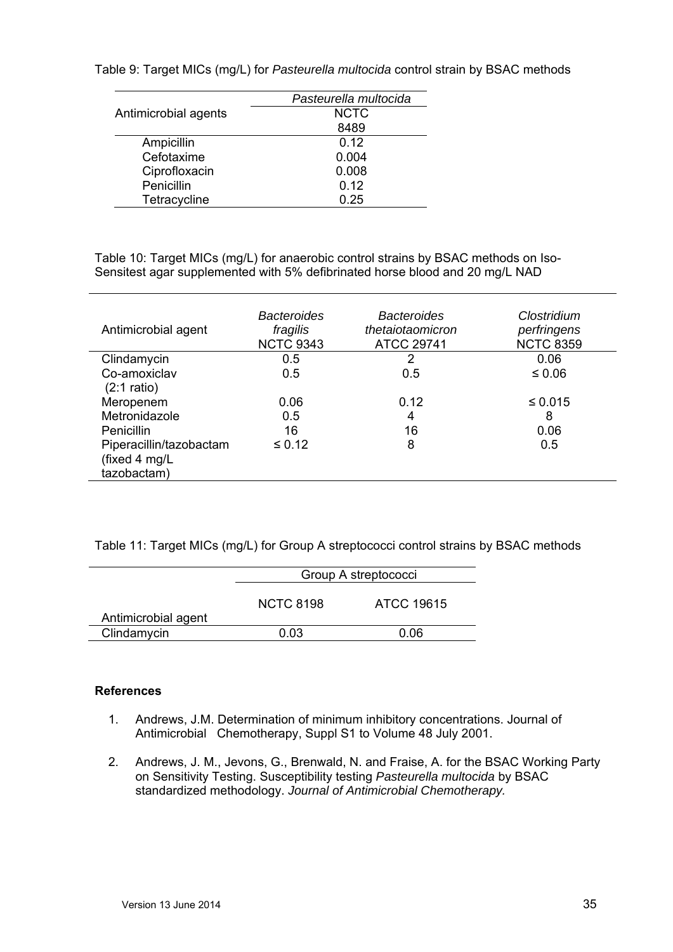|                      | Pasteurella multocida |
|----------------------|-----------------------|
| Antimicrobial agents | <b>NCTC</b>           |
|                      | 8489                  |
| Ampicillin           | 0.12                  |
| Cefotaxime           | 0.004                 |
| Ciprofloxacin        | 0.008                 |
| Penicillin           | 0.12                  |
| Tetracycline         | 0.25                  |

Table 9: Target MICs (mg/L) for *Pasteurella multocida* control strain by BSAC methods

Table 10: Target MICs (mg/L) for anaerobic control strains by BSAC methods on Iso-Sensitest agar supplemented with 5% defibrinated horse blood and 20 mg/L NAD

| Antimicrobial agent     | <b>Bacteroides</b><br>fragilis<br><b>NCTC 9343</b> | <b>Bacteroides</b><br>thetaiotaomicron<br><b>ATCC 29741</b> | Clostridium<br>perfringens<br><b>NCTC 8359</b> |
|-------------------------|----------------------------------------------------|-------------------------------------------------------------|------------------------------------------------|
| Clindamycin             | 0.5                                                | 2                                                           | 0.06                                           |
| Co-amoxiclav            | 0.5                                                | 0.5                                                         | ≤ 0.06                                         |
| $(2:1$ ratio)           |                                                    |                                                             |                                                |
| Meropenem               | 0.06                                               | 0.12                                                        | $\leq 0.015$                                   |
| Metronidazole           | 0.5                                                | 4                                                           | 8                                              |
| Penicillin              | 16                                                 | 16                                                          | 0.06                                           |
| Piperacillin/tazobactam | $\leq 0.12$                                        | 8                                                           | 0.5                                            |
| (fixed 4 mg/L           |                                                    |                                                             |                                                |
| tazobactam)             |                                                    |                                                             |                                                |

Table 11: Target MICs (mg/L) for Group A streptococci control strains by BSAC methods

|                     | Group A streptococci |            |  |  |  |
|---------------------|----------------------|------------|--|--|--|
| Antimicrobial agent | <b>NCTC 8198</b>     | ATCC 19615 |  |  |  |
| Clindamycin         | 0 03                 | 0 06       |  |  |  |

### **References**

- 1. Andrews, J.M. Determination of minimum inhibitory concentrations. Journal of Antimicrobial Chemotherapy, Suppl S1 to Volume 48 July 2001.
- 2. Andrews, J. M., Jevons, G., Brenwald, N. and Fraise, A. for the BSAC Working Party on Sensitivity Testing. Susceptibility testing *Pasteurella multocida* by BSAC standardized methodology. *Journal of Antimicrobial Chemotherapy.*